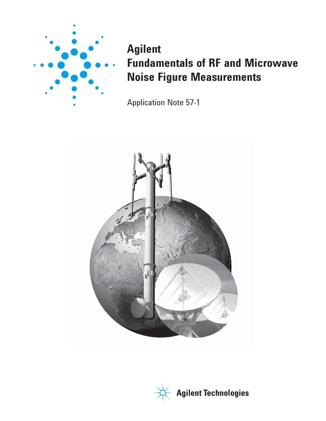

# **Agilent Fundamentals of RF and Microwave Noise Figure Measurements**

Application Note 57-1



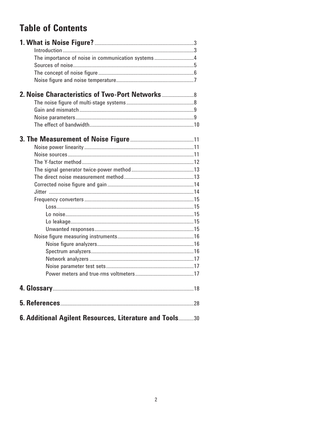# **Table of Contents**

| The importance of noise in communication systems4       |  |
|---------------------------------------------------------|--|
|                                                         |  |
|                                                         |  |
|                                                         |  |
| <b>2. Noise Characteristics of Two-Port Networks </b> 8 |  |
|                                                         |  |
|                                                         |  |
|                                                         |  |
|                                                         |  |
|                                                         |  |
|                                                         |  |
|                                                         |  |
|                                                         |  |
|                                                         |  |
|                                                         |  |
|                                                         |  |
|                                                         |  |
|                                                         |  |
|                                                         |  |
|                                                         |  |
|                                                         |  |
|                                                         |  |
|                                                         |  |
|                                                         |  |
|                                                         |  |
|                                                         |  |
|                                                         |  |
|                                                         |  |
|                                                         |  |
|                                                         |  |
|                                                         |  |
| 6. Additional Agilent Resources, Literature and Tools30 |  |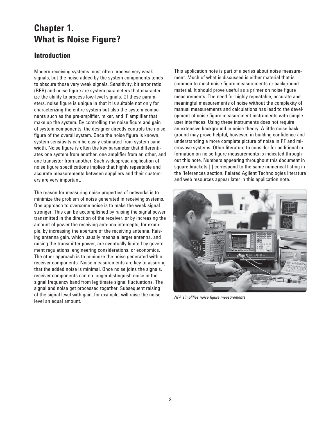# **Chapter 1. What is Noise Figure?**

## **Introduction**

Modern receiving systems must often process very weak signals, but the noise added by the system components tends to obscure those very weak signals. Sensitivity, bit error ratio (BER) and noise figure are system parameters that characterize the ability to process low-level signals. Of these parameters, noise figure is unique in that it is suitable not only for characterizing the entire system but also the system components such as the pre-amplifier, mixer, and IF amplifier that make up the system. By controlling the noise figure and gain of system components, the designer directly controls the noise figure of the overall system. Once the noise figure is known, system sensitivity can be easily estimated from system bandwidth. Noise figure is often the key parameter that differentiates one system from another, one amplifier from an other, and one transistor from another. Such widespread application of noise figure specifications implies that highly repeatable and accurate measurements between suppliers and their customers are very important.

The reason for measuring noise properties of networks is to minimize the problem of noise generated in receiving systems. One approach to overcome noise is to make the weak signal stronger. This can be accomplished by raising the signal power transmitted in the direction of the receiver, or by increasing the amount of power the receiving antenna intercepts, for example, by increasing the aperture of the receiving antenna. Raising antenna gain, which usually means a larger antenna, and raising the transmitter power, are eventually limited by government regulations, engineering considerations, or economics. The other approach is to minimize the noise generated within receiver components. Noise measurements are key to assuring that the added noise is minimal. Once noise joins the signals, receiver components can no longer distinguish noise in the signal frequency band from legitimate signal fluctuations. The signal and noise get processed together. Subsequent raising of the signal level with gain, for example, will raise the noise level an equal amount.

This application note is part of a series about noise measurement. Much of what is discussed is either material that is common to most noise figure measurements or background material. It should prove useful as a primer on noise figure measurements. The need for highly repeatable, accurate and meaningful measurements of noise without the complexity of manual measurements and calculations has lead to the development of noise figure measurement instruments with simple user interfaces. Using these instruments does not require an extensive background in noise theory. A little noise background may prove helpful, however, in building confidence and understanding a more complete picture of noise in RF and microwave systems. Other literature to consider for additional information on noise figure measurements is indicated throughout this note. Numbers appearing throughout this document in square brackets [ ] correspond to the same numerical listing in the References section. Related Agilent Technologies literature and web resources appear later in this application note.



*NFA simplifies noise figure measurements*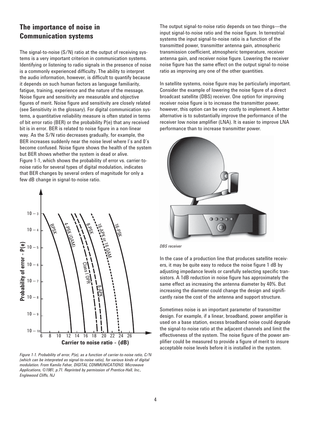## **The importance of noise in Communication systems**

The signal-to-noise (S/N) ratio at the output of receiving systems is a very important criterion in communication systems. Identifying or listening to radio signals in the presence of noise is a commonly experienced difficulty. The ability to interpret the audio information, however, is difficult to quantify because it depends on such human factors as language familiarity, fatigue, training, experience and the nature of the message. Noise figure and sensitivity are measurable and objective figures of merit. Noise figure and sensitivity are closely related (see Sensitivity in the glossary). For digital communication systems, a quantitative reliability measure is often stated in terms of bit error ratio (BER) or the probability P(e) that any received bit is in error. BER is related to noise figure in a non-linear way. As the S/N ratio decreases gradually, for example, the BER increases suddenly near the noise level where l's and 0's become confused. Noise figure shows the health of the system but BER shows whether the system is dead or alive. Figure 1-1, which shows the probability of error vs. carrier-tonoise ratio for several types of digital modulation, indicates that BER changes by several orders of magnitude for only a few dB change in signal-to-noise ratio.



*Figure 1-1. Probability of error, P(e), as a function of carrier-to-noise ratio, C/N (which can be interpreted as signal-to-noise ratio), for various kinds of digital modulation. From Kamilo Feher, DIGITAL COMMUNICATIONS: Microwave Applications, ©1981, p.71. Reprinted by permission of Prentice-Hall, Inc., Englewood Cliffs, NJ*

The output signal-to-noise ratio depends on two things—the input signal-to-noise ratio and the noise figure. In terrestrial systems the input signal-to-noise ratio is a function of the transmitted power, transmitter antenna gain, atmospheric transmission coefficient, atmospheric temperature, receiver antenna gain, and receiver noise figure. Lowering the receiver noise figure has the same effect on the output signal-to-noise ratio as improving any one of the other quantities.

In satellite systems, noise figure may be particularly important. Consider the example of lowering the noise figure of a direct broadcast satellite (DBS) receiver. One option for improving receiver noise figure is to increase the transmitter power, however, this option can be very costly to implement. A better alternative is to substantially improve the performance of the receiver low noise amplifier (LNA). It is easier to improve LNA performance than to increase transmitter power.



*DBS receiver*

In the case of a production line that produces satellite receivers, it may be quite easy to reduce the noise figure 1 dB by adjusting impedance levels or carefully selecting specific transistors. A 1dB reduction in noise figure has approximately the same effect as increasing the antenna diameter by 40%. But increasing the diameter could change the design and significantly raise the cost of the antenna and support structure.

Sometimes noise is an important parameter of transmitter design. For example, if a linear, broadband, power amplifier is used on a base station, excess broadband noise could degrade the signal-to-noise ratio at the adjacent channels and limit the effectiveness of the system. The noise figure of the power amplifier could be measured to provide a figure of merit to insure acceptable noise levels before it is installed in the system.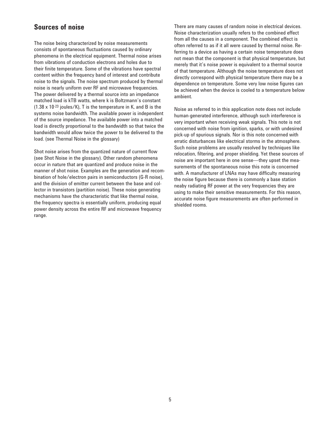## **Sources of noise**

The noise being characterized by noise measurements consists of spontaneous fluctuations caused by ordinary phenomena in the electrical equipment. Thermal noise arises from vibrations of conduction electrons and holes due to their finite temperature. Some of the vibrations have spectral content within the frequency band of interest and contribute noise to the signals. The noise spectrum produced by thermal noise is nearly uniform over RF and microwave frequencies. The power delivered by a thermal source into an impedance matched load is kTB watts, where k is Boltzmann's constant  $(1.38 \times 10^{-23} \text{ joules/K})$ , T is the temperature in K, and B is the systems noise bandwidth. The available power is independent of the source impedance. The available power into a matched load is directly proportional to the bandwidth so that twice the bandwidth would allow twice the power to be delivered to the load. (see Thermal Noise in the glossary)

Shot noise arises from the quantized nature of current flow (see Shot Noise in the glossary). Other random phenomena occur in nature that are quantized and produce noise in the manner of shot noise. Examples are the generation and recombination of hole/electron pairs in semiconductors (G-R noise), and the division of emitter current between the base and collector in transistors (partition noise). These noise generating mechanisms have the characteristic that like thermal noise, the frequency spectra is essentially uniform, producing equal power density across the entire RF and microwave frequency range.

There are many causes of random noise in electrical devices. Noise characterization usually refers to the combined effect from all the causes in a component. The combined effect is often referred to as if it all were caused by thermal noise. Referring to a device as having a certain noise temperature does not mean that the component is that physical temperature, but merely that it's noise power is equivalent to a thermal source of that temperature. Although the noise temperature does not directly correspond with physical temperature there may be a dependence on temperature. Some very low noise figures can be achieved when the device is cooled to a temperature below ambient.

Noise as referred to in this application note does not include human-generated interference, although such interference is very important when receiving weak signals. This note is not concerned with noise from ignition, sparks, or with undesired pick-up of spurious signals. Nor is this note concerned with erratic disturbances like electrical storms in the atmosphere. Such noise problems are usually resolved by techniques like relocation, filtering, and proper shielding. Yet these sources of noise are important here in one sense—they upset the measurements of the spontaneous noise this note is concerned with. A manufacturer of LNAs may have difficulty measuring the noise figure because there is commonly a base station neaby radiating RF power at the very frequencies they are using to make their sensitive measurements. For this reason, accurate noise figure measurements are often performed in shielded rooms.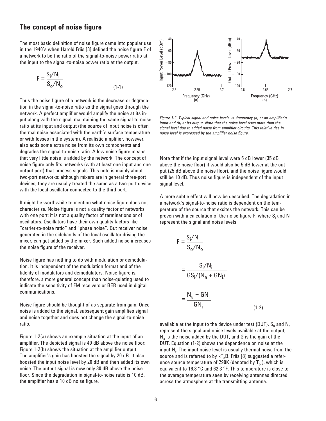### **The concept of noise figure**

The most basic definition of noise figure came into popular use in the 1940's when Harold Friis [8] defined the noise figure F of a network to be the ratio of the signal-to-noise power ratio at the input to the signal-to-noise power ratio at the output.

$$
F = \frac{S_i / N_i}{S_o / N_o}
$$
\n
$$
\tag{1-1}
$$

Thus the noise figure of a network is the decrease or degradation in the signal-to-noise ratio as the signal goes through the network. A perfect amplifier would amplify the noise at its input along with the signal, maintaining the same signal-to-noise ratio at its input and output (the source of input noise is often thermal noise associated with the earth's surface temperature or with losses in the system). A realistic amplifier, however, also adds some extra noise from its own components and degrades the signal-to-noise ratio. A low noise figure means that very little noise is added by the network. The concept of noise figure only fits networks (with at least one input and one output port) that process signals. This note is mainly about two-port networks; although mixers are in general three-port devices, they are usually treated the same as a two-port device with the local oscillator connected to the third port.

It might be worthwhile to mention what noise figure does not characterize. Noise figure is not a quality factor of networks with one port; it is not a quality factor of terminations or of oscillators. Oscillators have their own quality factors like "carrier-to-noise ratio" and "phase noise". But receiver noise generated in the sidebands of the local oscillator driving the mixer, can get added by the mixer. Such added noise increases the noise figure of the receiver.

Noise figure has nothing to do with modulation or demodulation. It is independent of the modulation format and of the fidelity of modulators and demodulators. Noise figure is, therefore, a more general concept than noise-quieting used to indicate the sensitivity of FM receivers or BER used in digital communications.

Noise figure should be thought of as separate from gain. Once noise is added to the signal, subsequent gain amplifies signal and noise together and does not change the signal-to-noise ratio.

Figure 1-2(a) shows an example situation at the input of an amplifier. The depicted signal is 40 dB above the noise floor: Figure 1-2(b) shows the situation at the amplifier output. The amplifier's gain has boosted the signal by 20 dB. It also boosted the input noise level by 20 dB and then added its own noise. The output signal is now only 30 dB above the noise floor. Since the degradation in signal-to-noise ratio is 10 dB, the amplifier has a 10 dB noise figure.



*Figure 1-2. Typical signal and noise levels vs. frequency (a) at an amplifier's input and (b) at its output. Note that the noise level rises more than the signal level due to added noise from amplifier circuits. This relative rise in noise level is expressed by the amplifier noise figure.*

Note that if the input signal level were 5 dB lower (35 dB above the noise floor) it would also be 5 dB lower at the output (25 dB above the noise floor), and the noise figure would still be 10 dB. Thus noise figure is independent of the input signal level.

A more subtle effect will now be described. The degradation in a network's signal-to-noise ratio is dependent on the temperature of the source that excites the network. This can be proven with a calculation of the noise figure F, where  $\mathsf{S}_{\mathsf{i}}$  and  $\mathsf{N}_{\mathsf{i}}$ represent the signal and noise levels

$$
F = \frac{S_i/N_i}{S_o/N_o}
$$
  
= 
$$
\frac{S_i/N_i}{GS_i/(N_a + GN_i)}
$$
  
= 
$$
\frac{N_a + GN_i}{GN_i}
$$
 (1-2)

available at the input to the device under test (DUT),  $S_0$  and  $N_0$ represent the signal and noise levels available at the output,  $N_a$  is the noise added by the DUT, and G is the gain of the DUT. Equation (1-2) shows the dependence on noise at the input  $\mathsf{N}_{\mathsf{i}}.$  The input noise level is usually thermal noise from the source and is referred to by  $kT_0B$ . Friis [8] suggested a reference source temperature of 290K (denoted by  $T_0$ ), which is equivalent to 16.8 °C and 62.3 °F. This temperature is close to the average temperature seen by receiving antennas directed across the atmosphere at the transmitting antenna.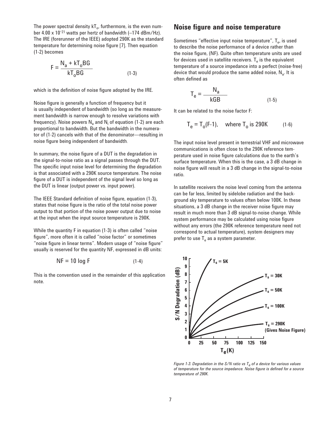The power spectral density  $kT<sub>o</sub>$ , furthermore, is the even number 4.00 x 10<sup>-21</sup> watts per hertz of bandwidth (-174 dBm/Hz). The IRE (forerunner of the IEEE) adopted 290K as the standard temperature for determining noise figure [7]. Then equation (1-2) becomes

$$
F = \frac{N_a + kT_oBG}{kT_oBG}
$$
 (1-3)

which is the definition of noise figure adopted by the IRE.

Noise figure is generally a function of frequency but it is usually independent of bandwidth (so long as the measurement bandwidth is narrow enough to resolve variations with frequency). Noise powers  $\mathsf{N}_{\mathsf{a}}$  and  $\mathsf{N}_{\mathsf{i}}$  of equation (1-2) are each proportional to bandwidth. But the bandwidth in the numerator of (1-2) cancels with that of the denominator—resulting in noise figure being independent of bandwidth.

In summary, the noise figure of a DUT is the degradation in the signal-to-noise ratio as a signal passes through the DUT. The specific input noise level for determining the degradation is that associated with a 290K source temperature. The noise figure of a DUT is independent of the signal level so long as the DUT is linear (output power vs. input power).

The IEEE Standard definition of noise figure, equation (1-3), states that noise figure is the ratio of the total noise power output to that portion of the noise power output due to noise at the input when the input source temperature is 290K.

While the quantity F in equation (1-3) is often called "noise figure", more often it is called "noise factor" or sometimes "noise figure in linear terms". Modern usage of "noise figure" usually is reserved for the quantity NF, expressed in dB units:

$$
NF = 10 \log F \tag{1-4}
$$

This is the convention used in the remainder of this application note.

### **Noise figure and noise temperature**

Sometimes "effective input noise temperature",  $T_{e}$ , is used to describe the noise performance of a device rather than the noise figure, (NF). Quite often temperature units are used for devices used in satellite receivers.  $T<sub>e</sub>$  is the equivalent temperature of a source impedance into a perfect (noise-free) device that would produce the same added noise,  $N_a$ . It is often defined as

$$
T_e = \frac{N_a}{kGB} \tag{1-5}
$$

It can be related to the noise factor F:

$$
T_e = T_o(F-1)
$$
, where  $T_o$  is 290K (1-6)

The input noise level present in terrestrial VHF and microwave communications is often close to the 290K reference temperature used in noise figure calculations due to the earth's surface temperature. When this is the case, a 3 dB change in noise figure will result in a 3 dB change in the signal-to-noise ratio.

In satellite receivers the noise level coming from the antenna can be far less, limited by sidelobe radiation and the background sky temperature to values often below 100K. In these situations, a 3 dB change in the receiver noise figure may result in much more than 3 dB signal-to-noise change. While system performance may be calculated using noise figure without any errors (the 290K reference temperature need not correspond to actual temperature), system designers may prefer to use  $T<sub>e</sub>$  as a system parameter.



*Figure 1-3. Degradation in the S/N ratio vs*  $T_e$  *of a device for various values of temperature for the source impedance. Noise figure is defined for a source temperature of 290K.*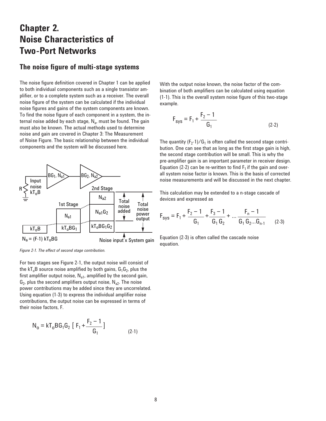# **Chapter 2. Noise Characteristics of Two-Port Networks**

### **The noise figure of multi-stage systems**

The noise figure definition covered in Chapter 1 can be applied to both individual components such as a single transistor amplifier, or to a complete system such as a receiver. The overall noise figure of the system can be calculated if the individual noise figures and gains of the system components are known. To find the noise figure of each component in a system, the internal noise added by each stage,  $N_a$ , must be found. The gain must also be known. The actual methods used to determine noise and gain are covered in Chapter 3: The Measurement of Noise Figure. The basic relationship between the individual components and the system will be discussed here.



*Figure 2-1. The effect of second stage contribution.*

For two stages see Figure 2-1, the output noise will consist of the kT<sub>o</sub>B source noise amplified by both gains,  $G_1G_2$ , plus the first amplifier output noise,  $N_{a1}$ , amplified by the second gain,  $G_2$ , plus the second amplifiers output noise,  $N_{a2}$ . The noise power contributions may be added since they are uncorrelated. Using equation (1-3) to express the individual amplifier noise contributions, the output noise can be expressed in terms of their noise factors, F.

$$
N_0 = kT_0BG_1G_2 [F_1 + \frac{F_2 - 1}{G_1}]
$$
 (2-1)

With the output noise known, the noise factor of the combination of both amplifiers can be calculated using equation (1-1). This is the overall system noise figure of this two-stage example.

$$
F_{sys} = F_1 + \frac{F_2 - 1}{G_1}
$$
 (2-2)

The quantity  $(F_2-1)/G_1$  is often called the second stage contribution. One can see that as long as the first stage gain is high, the second stage contribution will be small. This is why the pre-amplifier gain is an important parameter in receiver design. Equation (2-2) can be re-written to find  $F_1$  if the gain and overall system noise factor is known. This is the basis of corrected noise measurements and will be discussed in the next chapter.

This calculation may be extended to a n-stage cascade of devices and expressed as

$$
F_{sys} = F_1 + \frac{F_2 - 1}{G_1} + \frac{F_3 - 1}{G_1 G_2} + \dots + \frac{F_n - 1}{G_1 G_2 \dots G_{n-1}}
$$
 (2-3)

Equation (2-3) is often called the cascade noise equation.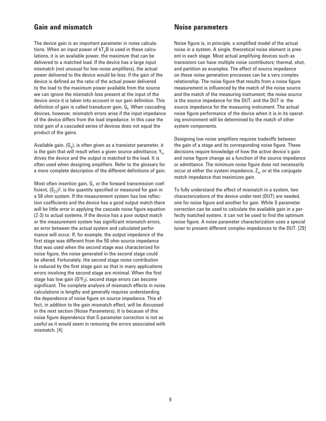## **Gain and mismatch**

The device gain is an important parameter in noise calculations. When an input power of  $kT_0B$  is used in these calculations, it is an available power, the maximum that can be delivered to a matched load. If the device has a large input mismatch (not unusual for low-noise amplifiers), the actual power delivered to the device would be less. If the gain of the device is defined as the ratio of the actual power delivered to the load to the maximum power available from the source we can ignore the mismatch loss present at the input of the device since it is taken into account in our gain definition. This definition of gain is called transducer gain, G<sub>t</sub>. When cascading devices, however, mismatch errors arise if the input impedance of the device differs from the load impedance. In this case the total gain of a cascaded series of devices does not equal the product of the gains.

Available gain,  $(G_a)$ , is often given as a transistor parameter, it is the gain that will result when a given source admittance,  $Y_{s}$ , drives the device and the output is matched to the load. It is often used when designing amplifiers. Refer to the glossary for a more complete description of the different definitions of gain.

Most often insertion gain,  $G_i$ , or the forward transmission coefficient,  $(S_{21})^2$ , is the quantity specified or measured for gain in a 50 ohm system. If the measurement system has low reflection coefficients and the device has a good output match there will be little error in applying the cascade noise figure equation (2-3) to actual systems. If the device has a poor output match or the measurement system has significant mismatch errors, an error between the actual system and calculated performance will occur. If, for example, the output impedance of the first stage was different from the 50 ohm source impedance that was used when the second stage was characterized for noise figure, the noise generated in the second stage could be altered. Fortunately, the second stage noise contribution is reduced by the first stage gain so that in many applications errors involving the second stage are minimal. When the first stage has low gain ( $G^2F_2$ ), second stage errors can become significant. The complete analysis of mismatch effects in noise calculations is lengthy and generally requires understanding the dependence of noise figure on source impedance. This effect, in addition to the gain mismatch effect, will be discussed in the next section (Noise Parameters). It is because of this noise figure dependence that S-parameter correction is not as useful as it would seem in removing the errors associated with mismatch. [4]

### **Noise parameters**

Noise figure is, in principle, a simplified model of the actual noise in a system. A single, theoretical noise element is present in each stage. Most actual amplifying devices such as transistors can have multiple noise contributors; thermal, shot, and partition as examples. The effect of source impedance on these noise generation processes can be a very complex relationship. The noise figure that results from a noise figure measurement is influenced by the match of the noise source and the match of the measuring instrument; the noise source is the source impedance for the DUT, and the DUT is the source impedance for the measuring instrument. The actual noise figure performance of the device when it is in its operating environment will be determined by the match of other system components.

Designing low noise amplifiers requires tradeoffs between the gain of a stage and its corresponding noise figure. These decisions require knowledge of how the active device's gain and noise figure change as a function of the source impedance or admittance. The minimum noise figure does not necessarily occur at either the system impedance,  $Z_{0}$ , or at the conjugate match impedance that maximizes gain.

To fully understand the effect of mismatch in a system, two characterizations of the device-under-test (DUT) are needed, one for noise figure and another for gain. While S-parameter correction can be used to calculate the available gain in a perfectly matched system, it can not be used to find the optimum noise figure. A noise parameter characterization uses a special tuner to present different complex impedances to the DUT. [29]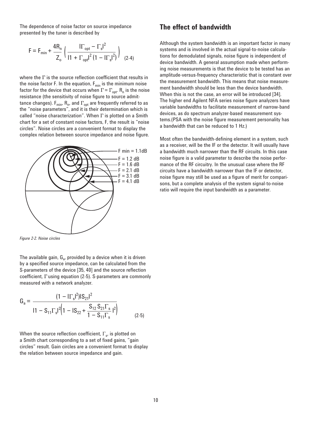The dependence of noise factor on source impedance presented by the tuner is described by

$$
F = F_{\min} + \frac{4R_{n}}{Z_{o}} \left( \frac{|\Gamma_{\text{opt}} - \Gamma_{s}|^{2}}{|1 + \Gamma_{\text{opt}}|^{2} (1 - |\Gamma_{s}|^{2})} \right)
$$
 (2-4)

where the  $\Gamma$  is the source reflection coefficient that results in the noise factor F. In the equation,  $F_{min}$  is the minimum noise factor for the device that occurs when  $\Gamma = \Gamma_{\text{opt}}$ . R<sub>n</sub> is the noise resistance (the sensitivity of noise figure to source admittance changes).  $F_{min'} R_{n'}$  and  $\Gamma_{opt}$  are frequently referred to as the "noise parameters", and it is their determination which is called "noise characterization". When  $\Gamma$  is plotted on a Smith chart for a set of constant noise factors, F, the result is "noise circles". Noise circles are a convenient format to display the complex relation between source impedance and noise figure.



*Figure 2-2. Noise circles*

The available gain,  $G_a$ , provided by a device when it is driven by a specified source impedance, can be calculated from the S-parameters of the device [35, 40] and the source reflection coefficient, Γ using equation (2-5). S-parameters are commonly measured with a network analyzer.

$$
G_{a} = \frac{(1 - |\Gamma_{s}|^{2})|S_{21}|^{2}}{|1 - S_{11}\Gamma_{s}|^{2} \left(1 - |S_{22} + \frac{S_{12} S_{21} \Gamma_{s}}{1 - S_{11}\Gamma_{s}}|^{2}\right)}
$$
(2-5)

When the source reflection coefficient,  $\Gamma_{\rm s}$ , is plotted on a Smith chart corresponding to a set of fixed gains, "gain circles" result. Gain circles are a convenient format to display the relation between source impedance and gain.

### **The effect of bandwidth**

Although the system bandwidth is an important factor in many systems and is involved in the actual signal-to-noise calculations for demodulated signals, noise figure is independent of device bandwidth. A general assumption made when performing noise measurements is that the device to be tested has an amplitude-versus-frequency characteristic that is constant over the measurement bandwidth. This means that noise measurement bandwidth should be less than the device bandwidth. When this is not the case, an error will be introduced [34]. The higher end Agilent NFA series noise figure analyzers have variable bandwidths to facilitate measurement of narrow-band devices, as do spectrum analyzer-based measurement systems.(PSA with the noise figure measurement personality has a bandwidth that can be reduced to 1 Hz.)

Most often the bandwidth-defining element in a system, such as a receiver, will be the IF or the detector. It will usually have a bandwidth much narrower than the RF circuits. In this case noise figure is a valid parameter to describe the noise performance of the RF circuitry. In the unusual case where the RF circuits have a bandwidth narrower than the IF or detector, noise figure may still be used as a figure of merit for comparisons, but a complete analysis of the system signal-to-noise ratio will require the input bandwidth as a parameter.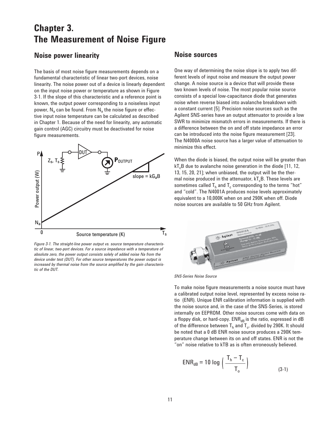# **Chapter 3. The Measurement of Noise Figure**

### **Noise power linearity**

The basis of most noise figure measurements depends on a fundamental characteristic of linear two-port devices, noise linearity. The noise power out of a device is linearly dependent on the input noise power or temperature as shown in Figure 3-1. If the slope of this characteristic and a reference point is known, the output power corresponding to a noiseless input power,  $N_a$  can be found. From  $N_a$  the noise figure or effective input noise temperature can be calculated as described in Chapter 1. Because of the need for linearity, any automatic gain control (AGC) circuitry must be deactivated for noise figure measurements.



*Figure 3-1. The straight-line power output vs. source temperature characteristic of linear, two-port devices. For a source impedance with a temperature of absolute zero, the power output consists solely of added noise Na from the device under test (DUT). For other source temperatures the power output is increased by thermal noise from the source amplified by the gain characteristic of the DUT.*

### **Noise sources**

One way of determining the noise slope is to apply two different levels of input noise and measure the output power change. A noise source is a device that will provide these two known levels of noise. The most popular noise source consists of a special low-capacitance diode that generates noise when reverse biased into avalanche breakdown with a constant current [5]. Precision noise sources such as the Agilent SNS-series have an output attenuator to provide a low SWR to minimize mismatch errors in measurements. If there is a difference between the on and off state impedance an error can be introduced into the noise figure measurement [23]. The N4000A noise source has a larger value of attenuation to minimize this effect.

When the diode is biased, the output noise will be greater than  $kT<sub>c</sub>B$  due to avalanche noise generation in the diode [11, 12, 13, 15, 20, 21]; when unbiased, the output will be the thermal noise produced in the attenuator, kT.B. These levels are sometimes called  $T<sub>h</sub>$  and  $T<sub>c</sub>$  corresponding to the terms "hot" and "cold". The N4001A produces noise levels approximately equivalent to a 10,000K when on and 290K when off. Diode noise sources are available to 50 GHz from Agilent.



*SNS-Series Noise Source*

To make noise figure measurements a noise source must have a calibrated output noise level, represented by excess noise ratio (ENR). Unique ENR calibration information is supplied with the noise source and, in the case of the SNS-Series, is stored internally on EEPROM. Other noise sources come with data on a floppy disk, or hard-copy.  $ENR<sub>dB</sub>$  is the ratio, expressed in dB of the difference between  $T_h$  and  $T_c$ , divided by 290K. It should be noted that a 0 dB ENR noise source produces a 290K temperature change between its on and off states. ENR is not the "on" noise relative to kTB as is often erroneously believed.

$$
ENR_{dB} = 10 \log \left( \frac{T_h - T_c}{T_o} \right)
$$
 (3-1)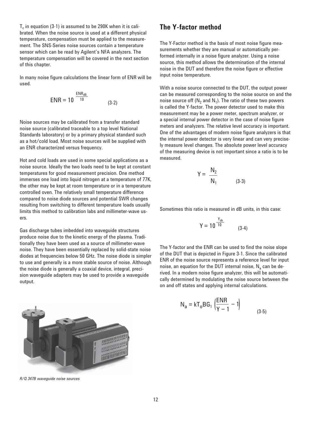$T_c$  in equation (3-1) is assumed to be 290K when it is calibrated. When the noise source is used at a different physical temperature, compensation must be applied to the measurement. The SNS-Series noise sources contain a temperature sensor which can be read by Agilent's NFA analyzers. The temperature compensation will be covered in the next section of this chapter.

In many noise figure calculations the linear form of ENR will be used.

$$
ENR = 10^{\frac{ENR_{dB}}{10}}
$$
 (3-2)

Noise sources may be calibrated from a transfer standard noise source (calibrated traceable to a top level National Standards laboratory) or by a primary physical standard such as a hot/cold load. Most noise sources will be supplied with an ENR characterized versus frequency.

Hot and cold loads are used in some special applications as a noise source. Ideally the two loads need to be kept at constant temperatures for good measurement precision. One method immerses one load into liquid nitrogen at a temperature of 77K, the other may be kept at room temperature or in a temperature controlled oven. The relatively small temperature difference compared to noise diode sources and potential SWR changes resulting from switching to different temperature loads usually limits this method to calibration labs and millimeter-wave users.

Gas discharge tubes imbedded into waveguide structures produce noise due to the kinetic energy of the plasma. Traditionally they have been used as a source of millimeter-wave noise. They have been essentially replaced by solid-state noise diodes at frequencies below 50 GHz. The noise diode is simpler to use and generally is a more stable source of noise. Although the noise diode is generally a coaxial device, integral, precision waveguide adapters may be used to provide a waveguide output.



*R/Q 347B waveguide noise sources*

## **The Y-factor method**

The Y-Factor method is the basis of most noise figure measurements whether they are manual or automatically performed internally in a noise figure analyzer. Using a noise source, this method allows the determination of the internal noise in the DUT and therefore the noise figure or effective input noise temperature.

With a noise source connected to the DUT, the output power can be measured corresponding to the noise source on and the noise source off  $(N_2$  and  $N_1$ ). The ratio of these two powers is called the Y-factor. The power detector used to make this measurement may be a power meter, spectrum analyzer, or a special internal power detector in the case of noise figure meters and analyzers. The relative level accuracy is important. One of the advantages of modern noise figure analyzers is that the internal power detector is very linear and can very precisely measure level changes. The absolute power level accuracy of the measuring device is not important since a ratio is to be measured.

$$
Y = \frac{N_2}{N_1} \tag{3-3}
$$

Sometimes this ratio is measured in dB units, in this case:

$$
Y = 10^{\frac{Y_{db}}{10}}
$$
 (3-4)

The Y-factor and the ENR can be used to find the noise slope of the DUT that is depicted in Figure 3-1. Since the calibrated ENR of the noise source represents a reference level for input noise, an equation for the DUT internal noise,  $N_a$  can be derived. In a modern noise figure analyzer, this will be automatically determined by modulating the noise source between the on and off states and applying internal calculations.

$$
N_a = kT_0BG_1 \left( \frac{ENR}{Y - 1} - 1 \right)
$$
 (3-5)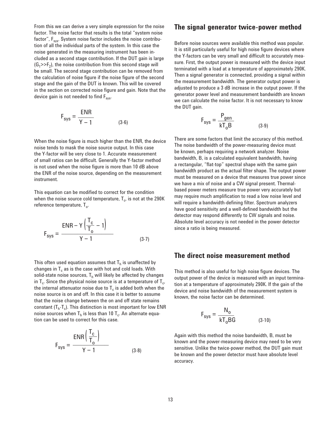From this we can derive a very simple expression for the noise factor. The noise factor that results is the total "system noise factor",  $F_{sys}$ . System noise factor includes the noise contribution of all the individual parts of the system. In this case the noise generated in the measuring instrument has been included as a second stage contribution. If the DUT gain is large  $(G_1 \rightarrow F_2)$ , the noise contribution from this second stage will be small. The second stage contribution can be removed from the calculation of noise figure if the noise figure of the second stage and the gain of the DUT is known. This will be covered in the section on corrected noise figure and gain. Note that the device gain is not needed to find  $F_{sys}$ .

$$
F_{sys} = \frac{ENR}{Y - 1}
$$
 (3-6) 
$$
F_{sys} =
$$

When the noise figure is much higher than the ENR, the device noise tends to mask the noise source output. In this case the Y-factor will be very close to 1. Accurate measurement of small ratios can be difficult. Generally the Y-factor method is not used when the noise figure is more than 10 dB above the ENR of the noise source, depending on the measurement instrument.

This equation can be modified to correct for the condition when the noise source cold temperature,  $T_c$ , is not at the 290K reference temperature,  $T_{o}$ .

$$
F_{sys} = \frac{ENR - Y\left(\frac{T_c}{T_o} - 1\right)}{Y - 1}
$$
 (3-7)

This often used equation assumes that  $T_h$  is unaffected by changes in  $T_c$  as is the case with hot and cold loads. With solid-state noise sources,  $T_h$  will likely be affected by changes in  $T_c$ . Since the physical noise source is at a temperature of  $T_c$ , the internal attenuator noise due to  $T_c$  is added both when the noise source is on and off. In this case it is better to assume that the noise change between the on and off state remains constant  $(T_h-T_c)$ . This distinction is most important for low ENR noise sources when  $T_h$  is less than 10  $T_c$ . An alternate equation can be used to correct for this case.

$$
F_{sys} = \frac{ENR\left(\frac{T_c}{T_o}\right)}{Y - 1}
$$
 (3-8)

### **The signal generator twice-power method**

Before noise sources were available this method was popular. It is still particularly useful for high noise figure devices where the Y-factors can be very small and difficult to accurately measure. First, the output power is measured with the device input terminated with a load at a temperature of approximately 290K. Then a signal generator is connected, providing a signal within the measurement bandwidth. The generator output power is adjusted to produce a 3 dB increase in the output power. If the generator power level and measurement bandwidth are known we can calculate the noise factor. It is not necessary to know the DUT gain.

$$
F_{\text{sys}} = \frac{P_{\text{gen}}}{kT_0B} \tag{3-9}
$$

There are some factors that limit the accuracy of this method. The noise bandwidth of the power-measuring device must be known, perhaps requiring a network analyzer. Noise bandwidth, B, is a calculated equivalent bandwidth, having a rectangular, "flat-top" spectral shape with the same gain bandwidth product as the actual filter shape. The output power must be measured on a device that measures true power since we have a mix of noise and a CW signal present. Thermalbased power meters measure true power very accurately but may require much amplification to read a low noise level and will require a bandwidth-defining filter. Spectrum analyzers have good sensitivity and a well-defined bandwidth but the detector may respond differently to CW signals and noise. Absolute level accuracy is not needed in the power detector since a ratio is being measured.

### **The direct noise measurement method**

This method is also useful for high noise figure devices. The output power of the device is measured with an input termination at a temperature of approximately 290K. If the gain of the device and noise bandwidth of the measurement system is known, the noise factor can be determined.

$$
F_{sys} = \frac{N_o}{kT_oBG}
$$
 (3-10)

Again with this method the noise bandwidth, B, must be known and the power-measuring device may need to be very sensitive. Unlike the twice-power method, the DUT gain must be known and the power detector must have absolute level accuracy.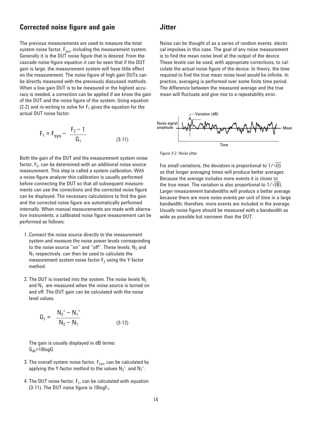## **Corrected noise figure and gain**

The previous measurements are used to measure the total system noise factor,  $F_{sys}$ , including the measurement system. Generally it is the DUT noise figure that is desired. From the cascade noise-figure equation it can be seen that if the DUT gain is large, the measurement system will have little effect on the measurement. The noise figure of high gain DUTs can be directly measured with the previously discussed methods. When a low gain DUT is to be measured or the highest accuracy is needed, a correction can be applied if we know the gain of the DUT and the noise figure of the system. Using equation (2-2) and re-writing to solve for  $F_1$  gives the equation for the actual DUT noise factor.

$$
F_1 = F_{sys} - \frac{F_2 - 1}{G_1}
$$
 (3-11)

Both the gain of the DUT and the measurement system noise factor,  $F<sub>2</sub>$ , can be determined with an additional noise source measurement. This step is called a system calibration. With a noise-figure analyzer this calibration is usually performed before connecting the DUT so that all subsequent measurements can use the corrections and the corrected noise figure can be displayed. The necessary calculations to find the gain and the corrected noise figure are automatically performed internally. When manual measurements are made with alternative instruments, a calibrated noise figure measurement can be performed as follows:

- 1. Connect the noise source directly to the measurement system and measure the noise power levels corresponding to the noise source "on" and "off". These levels;  $N_2$  and  $N_1$  respectively, can then be used to calculate the measurement system noise factor  $F_2$  using the Y-factor method.
- 2. The DUT is inserted into the system. The noise levels  $N_2$ and  $N_1$  are measured when the noise source is turned on and off. The DUT gain can be calculated with the noise level values.

$$
G_1 = \frac{N_2' - N_1'}{N_2 - N_1}
$$
 (3-12)

The gain is usually displayed in dB terms:  $G_{db}$ =10logG

- 3. The overall system noise factor,  $F_{sys}$ , can be calculated by applying the Y-factor method to the values  $N_2'$  and  $N_1'$ .
- 4. The DUT noise factor,  $F_1$ , can be calculated with equation  $(3-11)$ . The DUT noise figure is 10log $F_1$ .

### **Jitter**

Noise can be thought of as a series of random events, electrical impulses in this case. The goal of any noise measurement is to find the mean noise level at the output of the device. These levels can be used, with appropriate corrections, to calculate the actual noise figure of the device. In theory, the time required to find the true mean noise level would be infinite. In practice, averaging is performed over some finite time period. The difference between the measured average and the true mean will fluctuate and give rise to a repeatability error.





For small variations, the deviation is proportional to  $1/\sqrt{(t)}$ so that longer averaging times will produce better averages. Because the average includes more events it is closer to the true mean. The variation is also proportional to  $1/\sqrt{1}$ . Larger measurement bandwidths will produce a better average because there are more noise events per unit of time in a large bandwidth; therefore, more events are included in the average. Usually noise figure should be measured with a bandwidth as wide as possible but narrower than the DUT.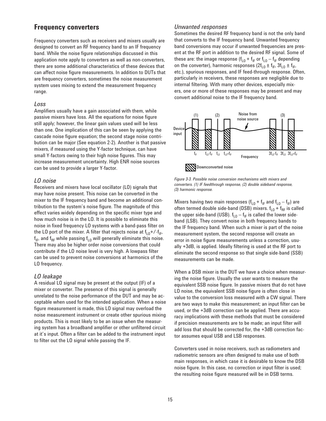### **Frequency converters**

Frequency converters such as receivers and mixers usually are designed to convert an RF frequency band to an IF frequency band. While the noise figure relationships discussed in this application note apply to converters as well as non-converters, there are some additional characteristics of these devices that can affect noise figure measurements. In addition to DUTs that are frequency converters, sometimes the noise measurement system uses mixing to extend the measurement frequency range.

### *Loss*

Amplifiers usually have a gain associated with them, while passive mixers have loss. All the equations for noise figure still apply; however, the linear gain values used will be less than one. One implication of this can be seen by applying the cascade noise figure equation; the second stage noise contribution can be major (See equation 2-2). Another is that passive mixers, if measured using the Y-factor technique, can have small Y-factors owing to their high noise figures. This may increase measurement uncertainty. High ENR noise sources can be used to provide a larger Y-factor.

### *LO noise*

Receivers and mixers have local oscillator (LO) signals that may have noise present. This noise can be converted in the mixer to the IF frequency band and become an additional contribution to the system's noise figure. The magnitude of this effect varies widely depending on the specific mixer type and how much noise is in the LO. It is possible to eliminate this noise in fixed frequency LO systems with a band-pass filter on the LO port of the mixer. A filter that rejects noise at  $f_{\text{LO}} + / -f_{\text{IF}}$ ,  $\mathsf{f}_\mathsf{IF}$  and  $\mathsf{f}_\mathsf{RF}$  while passing  $\mathsf{f}_\mathsf{LO}$  will generally eliminate this noise. There may also be higher order noise conversions that could contribute if the LO noise level is very high. A lowpass filter can be used to prevent noise conversions at harmonics of the LO frequency.

### *LO leakage*

A residual LO signal may be present at the output (IF) of a mixer or converter. The presence of this signal is generally unrelated to the noise performance of the DUT and may be acceptable when used for the intended application. When a noise figure measurement is made, this LO signal may overload the noise measurement instrument or create other spurious mixing products. This is most likely to be an issue when the measuring system has a broadband amplifier or other unfiltered circuit at it's input. Often a filter can be added to the instrument input to filter out the LO signal while passing the IF.

### *Unwanted responses*

Sometimes the desired RF frequency band is not the only band that converts to the IF frequency band. Unwanted frequency band conversions may occur if unwanted frequencies are present at the RF port in addition to the desired RF signal. Some of these are: the image response  $(f<sub>LO</sub> + f<sub>IF</sub>$  or  $f<sub>LO</sub> - f<sub>IF</sub>$  depending on the converter), harmonic responses  $(2f_{L0} \pm f_{IF}, 3f_{L0} \pm f_{IF},$ etc.), spurious responses, and IF feed-through response. Often, particularly in receivers, these responses are negligible due to internal filtering. With many other devices, especially mixers, one or more of these responses may be present and may convert additional noise to the IF frequency band.



*Figure 3-3. Possible noise conversion mechanisms with mixers and converters. (1) IF feedthrough response, (2) double sideband response, (3) harmonic response.*

Mixers having two main responses ( $f_{L0} + f_{IF}$  and  $f_{L0} - f_{IF}$ ) are often termed double side-band (DSB) mixers.  $f_{\text{LO}} + f_{\text{RF}}$  is called the upper side-band (USB).  $f_{L0} - f_{IF}$  is called the lower sideband (LSB). They convert noise in both frequency bands to the IF frequency band. When such a mixer is part of the noise measurement system, the second response will create an error in noise figure measurements unless a correction, usually +3dB, is applied. Ideally filtering is used at the RF port to eliminate the second response so that single side-band (SSB) measurements can be made.

When a DSB mixer is the DUT we have a choice when measuring the noise figure. Usually the user wants to measure the equivalent SSB noise figure. In passive mixers that do not have LO noise, the equivalent SSB noise figure is often close in value to the conversion loss measured with a CW signal. There are two ways to make this measurement; an input filter can be used, or the +3dB correction can be applied. There are accuracy implications with these methods that must be considered if precision measurements are to be made; an input filter will add loss that should be corrected for, the +3dB correction factor assumes equal USB and LSB responses.

Converters used in noise receivers, such as radiometers and radiometric sensors are often designed to make use of both main responses, in which case it is desirable to know the DSB noise figure. In this case, no correction or input filter is used; the resulting noise figure measured will be in DSB terms.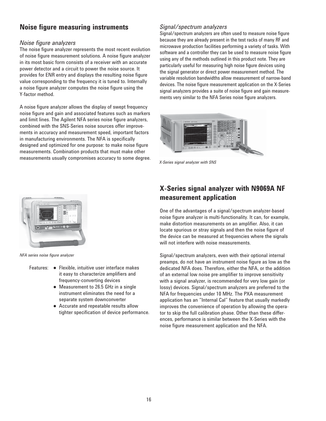# **Noise figure measuring instruments**

### *Noise figure analyzers*

The noise figure analyzer represents the most recent evolution of noise figure measurement solutions. A noise figure analyzer in its most basic form consists of a receiver with an accurate power detector and a circuit to power the noise source. It provides for ENR entry and displays the resulting noise figure value corresponding to the frequency it is tuned to. Internally a noise figure analyzer computes the noise figure using the Y-factor method.

A noise figure analyzer allows the display of swept frequency noise figure and gain and associated features such as markers and limit lines. The Agilent NFA series noise figure analyzers, combined with the SNS-Series noise sources offer improvements in accuracy and measurement speed, important factors in manufacturing environments. The NFA is specifically designed and optimized for one purpose: to make noise figure measurements. Combination products that must make other measurements usually compromises accuracy to some degree.



*NFA series noise figure analyzer*

- Features: Flexible, intuitive user interface makes it easy to characterize amplifiers and frequency-converting devices
	- Measurement to 26.5 GHz in a single instrument eliminates the need for a separate system downconverter
	- Accurate and repeatable results allow tighter specification of device performance.

## *Signal/spectrum analyzers*

Signal/spectrum analyzers are often used to measure noise figure because they are already present in the test racks of many RF and microwave production facilities performing a variety of tasks. With software and a controller they can be used to measure noise figure using any of the methods outlined in this product note. They are particularly useful for measuring high noise figure devices using the signal generator or direct power measurement method. The variable resolution bandwidths allow measurement of narrow-band devices. The noise figure measurement application on the X-Series signal analyzers provides a suite of noise figure and gain measurements very similar to the NFA Series noise figure analyzers.



*X-Series signal analyzer with SNS*

# **X-Series signal analyzer with N9069A NF measurement application**

One of the advantages of a signal/spectrum analyzer-based noise figure analyzer is multi-functionality. It can, for example, make distortion measurements on an amplifier. Also, it can locate spurious or stray signals and then the noise figure of the device can be measured at frequencies where the signals will not interfere with noise measurements.

Signal/spectrum analyzers, even with their optional internal preamps, do not have an instrument noise figure as low as the dedicated NFA does. Therefore, either the NFA, or the addition of an external low noise pre-amplifier to improve sensitivity with a signal analyzer, is recommended for very low gain (or lossy) devices. Signal/spectrum analyzers are preferred to the NFA for frequencies under 10 MHz. The PXA measurement application has an "Internal Cal" feature that usually markedly improves the convenience of operation by allowing the operator to skip the full calibration phase. Other than these differences, performance is similar between the X-Series with the noise figure measurement application and the NFA.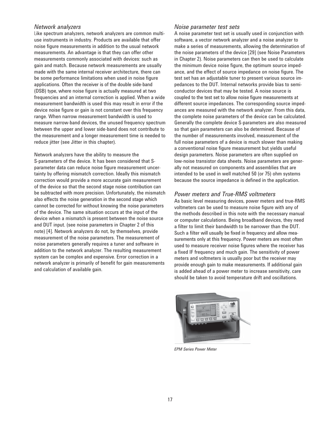### *Network analyzers*

Like spectrum analyzers, network analyzers are common multiuse instruments in industry. Products are available that offer noise figure measurements in addition to the usual network measurements. An advantage is that they can offer other measurements commonly associated with devices: such as gain and match. Because network measurements are usually made with the same internal receiver architecture, there can be some performance limitations when used in noise figure applications. Often the receiver is of the double side-band (DSB) type, where noise figure is actually measured at two frequencies and an internal correction is applied. When a wide measurement bandwidth is used this may result in error if the device noise figure or gain is not constant over this frequency range. When narrow measurement bandwidth is used to measure narrow-band devices, the unused frequency spectrum between the upper and lower side-band does not contribute to the measurement and a longer measurement time is needed to reduce jitter (see Jitter in this chapter).

Network analyzers have the ability to measure the S-parameters of the device. It has been considered that Sparameter data can reduce noise figure measurement uncertainty by offering mismatch correction. Ideally this mismatch correction would provide a more accurate gain measurement of the device so that the second stage noise contribution can be subtracted with more precision. Unfortunately, the mismatch also effects the noise generation in the second stage which cannot be corrected for without knowing the noise parameters of the device. The same situation occurs at the input of the device when a mismatch is present between the noise source and DUT input. (see noise parameters in Chapter 2 of this note) [4]. Network analyzers do not, by themselves, provide measurement of the noise parameters. The measurement of noise parameters generally requires a tuner and software in addition to the network analyzer. The resulting measurement system can be complex and expensive. Error correction in a network analyzer is primarily of benefit for gain measurements and calculation of available gain.

### *Noise parameter test sets*

A noise parameter test set is usually used in conjunction with software, a vector network analyzer and a noise analyzer to make a series of measurements, allowing the determination of the noise parameters of the device [29] (see Noise Parameters in Chapter 2). Noise parameters can then be used to calculate the minimum device noise figure, the optimum source impedance, and the effect of source impedance on noise figure. The test set has an adjustable tuner to present various source impedances to the DUT. Internal networks provide bias to semiconductor devices that may be tested. A noise source is coupled to the test set to allow noise figure measurements at different source impedances. The corresponding source impedances are measured with the network analyzer. From this data, the complete noise parameters of the device can be calculated. Generally the complete device S-parameters are also measured so that gain parameters can also be determined. Because of the number of measurements involved, measurement of the full noise parameters of a device is much slower than making a conventional noise figure measurement but yields useful design parameters. Noise parameters are often supplied on low-noise transistor data sheets. Noise parameters are generally not measured on components and assemblies that are intended to be used in well matched 50 (or 75) ohm systems because the source impedance is defined in the application.

### *Power meters and True-RMS voltmeters*

As basic level measuring devices, power meters and true-RMS voltmeters can be used to measure noise figure with any of the methods described in this note with the necessary manual or computer calculations. Being broadband devices, they need a filter to limit their bandwidth to be narrower than the DUT. Such a filter will usually be fixed in frequency and allow measurements only at this frequency. Power meters are most often used to measure receiver noise figures where the receiver has a fixed IF frequency and much gain. The sensitivity of power meters and voltmeters is usually poor but the receiver may provide enough gain to make measurements. If additional gain is added ahead of a power meter to increase sensitivity, care should be taken to avoid temperature drift and oscillations.



*EPM Series Power Meter*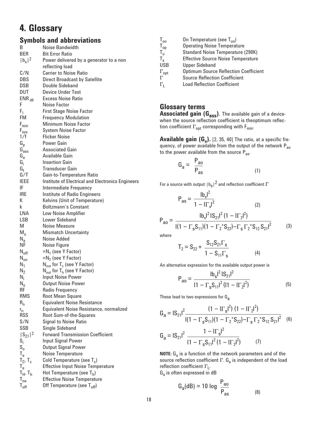# **4. Glossary**

# **Symbols and abbreviations**

| B                               | Noise Bandwidth                                    |
|---------------------------------|----------------------------------------------------|
| BER                             | <b>Bit Error Ratio</b>                             |
| $ b_{s} ^{2}$                   | Power delivered by a generator to a non            |
|                                 | reflecting load                                    |
| C/N                             | <b>Carrier to Noise Ratio</b>                      |
| DBS                             | <b>Direct Broadcast by Satellite</b>               |
| DSB                             | Double Sideband                                    |
| DUT                             | <b>Device Under Test</b>                           |
| $ENR$ <sub>dB</sub>             | <b>Excess Noise Ratio</b>                          |
| F                               | Noise Factor                                       |
| $\mathsf F_1$                   | <b>First Stage Noise Factor</b>                    |
| FM                              | <b>Frequency Modulation</b>                        |
| $\mathsf{F}_{\mathsf{min}}$     | <b>Minimum Noise Factor</b>                        |
|                                 | <b>System Noise Factor</b>                         |
| F <sub>sys</sub><br>1/f         | <b>Flicker Noise</b>                               |
| G,                              | <b>Power Gain</b>                                  |
| ${\tt G_{ass}}$                 | <b>Associated Gain</b>                             |
| G <sub>a</sub>                  | Available Gain                                     |
| G,                              | <b>Insertion Gain</b>                              |
| G,                              | <b>Transducer Gain</b>                             |
| G/T                             | Gain-to-Temperature Ratio                          |
| ieee                            | Institute of Electrical and Electronics Engineers  |
| IF                              | Intermediate Frequency                             |
| IRE                             | <b>Institute of Radio Engineers</b>                |
| K                               | Kelvins (Unit of Temperature)                      |
| k                               | <b>Boltzmann's Constant</b>                        |
| LNA                             | Low Noise Amplifier                                |
| LSB                             | Lower Sideband                                     |
| M                               | Noise Measure                                      |
| $M_{\rm H}$                     |                                                    |
|                                 | <b>Mismatch Uncertainty</b>                        |
| $N_a$                           | Noise Added                                        |
| NF                              | Noise Figure                                       |
| $N_{\text{off}}$                | $=N_1$ (see Y Factor)                              |
| $N_{on}$                        | $=N_2$ (see Y Factor)                              |
| N1                              | $N_{\text{out}}$ for T <sub>c</sub> (see Y Factor) |
| N <sub>2</sub>                  | $N_{\text{out}}$ for $T_h$ (see Y Factor)          |
| N <sub>i</sub>                  | <b>Input Noise Power</b>                           |
| N <sub>o</sub>                  | <b>Output Noise Power</b>                          |
| RF                              | Radio Frequency                                    |
| RMS                             | <b>Root Mean Square</b>                            |
| $\mathtt{R}_\mathtt{n}$         | <b>Equivalent Noise Resistance</b>                 |
| r <sub>n</sub>                  | Equivalent Noise Resistance, normalized            |
| RSS                             | Root Sum-of-the-Squares                            |
| S/N                             | Signal to Noise Ratio                              |
| SSB                             | Single Sideband                                    |
| $ S_{21} ^2$                    | <b>Forward Transmission Coefficient</b>            |
| $S_i$                           | <b>Input Signal Power</b>                          |
| $\bm{\mathsf{S}}_\text{o}$      | <b>Output Signal Power</b>                         |
| $\mathsf{T}_{\mathsf{a}}$       | Noise Temperature                                  |
| $T_c$ , $T_c$                   | Cold Temperature (see $T_c$ )                      |
| T <sub>e</sub>                  | <b>Effective Input Noise Temperature</b>           |
| Т <sub>Н</sub> , Т <sub>h</sub> | Hot Temperature (see Th)                           |
| $\mathsf{T}_{\mathsf{ne}}$      | <b>Effective Noise Temperature</b>                 |
| $\mathsf{T}_{\mathsf{off}}$     | Off Temperature (see T <sub>off</sub> )            |

| $\mathsf{T}_{\mathsf{on}}$                                                         | On Temperature (see $T_{on}$ )               |
|------------------------------------------------------------------------------------|----------------------------------------------|
|                                                                                    | <b>Operating Noise Temperature</b>           |
| $\begin{array}{c} \mathsf{T}_{\mathsf{op}} \\ \mathsf{T}_{\mathsf{o}} \end{array}$ | Standard Noise Temperature (290K)            |
| $T_{\rm s}$                                                                        | <b>Effective Source Noise Temperature</b>    |
| <b>USB</b>                                                                         | <b>Upper Sideband</b>                        |
| $\Gamma_{\text{opt}}$                                                              | <b>Optimum Source Reflection Coefficient</b> |
| $\Gamma$                                                                           | <b>Source Reflection Coefficient</b>         |
| г                                                                                  | <b>Load Reflection Coefficient</b>           |

# **Glossary terms**

**Associated gain (Gass)***.* The available gain of a devicewhen the source reflection coefficient is theoptimum reflection coefficient  $\Gamma_{\text{opt}}$  corresponding with  $F_{\text{min}}$ .

Available gain (G<sub>a</sub>). [2, 35, 40] The ratio, at a specific frequency, of power available from the output of the network  $P_{ao}$ to the power available from the source  $P_{as}$ .

$$
G_a = \frac{P_{ao}}{P_{as}}
$$
 (1)

For a source with output  $|b_s|^2$  and reflection coefficient  $\Gamma$ 

$$
P_{as} = \frac{|b_s|^2}{1 - |\Gamma_s|^2}
$$
(2)  

$$
P_{ao} = \frac{|b_s|^2 |S_{21}|^2 (1 - |\Gamma_2|^2)}{| (1 - \Gamma_s S_{11})(1 - \Gamma_2^* S_{22}) - \Gamma_s \Gamma_2^* S_{12} S_{21}|^2}
$$
(3)

where

$$
T_2 = S_{22} + \frac{S_{12}S_{21}\Gamma_s}{1 - S_{11}\Gamma_s}
$$
 (4)

An alternative expression for the available output power is

$$
P_{ao} = \frac{|b_s|^2 |S_{21}|^2}{|1 - \Gamma_s S_{11}|^2 (|1 - |\Gamma_2|^2)}
$$
(5)

These lead to two expressions for G<sub>a</sub>

$$
G_{a} = |S_{21}|^{2} \frac{(1 - |\Gamma_{s}|^{2}) (1 - |\Gamma_{2}|^{2})}{\left| (1 - \Gamma_{s} S_{11}) (1 - \Gamma_{2}^{*} S_{22}) - \Gamma_{s} \Gamma_{2}^{*} S_{12} S_{21} \right|^{2}}
$$
(6)

$$
G_{a} = |S_{21}|^{2} \frac{1 - |\Gamma_{s}|^{2}}{|1 - \Gamma_{s} S_{11}|^{2} (1 - |\Gamma_{2}|^{2})}
$$
 (7)

**NOTE:** G<sub>a</sub> is a function of the network parameters and of the source reflection coefficient  $\Gamma$ .  $G_a$  is independent of the load reflection coefficient Γ<sub>L</sub>.

 $G_a$  is often expressed in dB

$$
G_a(dB) = 10 \log \frac{P_{ao}}{P_{as}}
$$
 (8)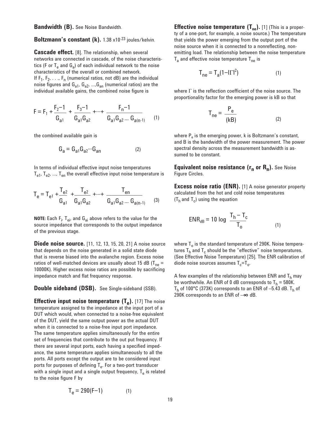**Bandwidth (B).** See Noise Bandwidth.

### Boltzmann's constant (k). 1.38 x10<sup>-23</sup> joules/kelvin.

**Cascade effect.** [8]. The relationship, when several networks are connected in cascade, of the noise characteristics (F or  $T_{\rm e}$  and  $G_{\rm a}$ ) of each individual network to the noise characteristics of the overall or combined network. If  $F_1, F_2, \ldots, F_n$  (numerical ratios, not dB) are the individual noise figures and  $G_{a1}$ ,  $G_{a2}$ , ...,  $G_{an}$  (numerical ratios) are the individual available gains, the combined noise figure is

$$
F = F_1 + \frac{F_2 - 1}{G_{a1}} + \frac{F_3 - 1}{G_{a1}G_{a2}} + \dots + \frac{F_n - 1}{G_{a1}G_{a2} \dots G_{a(n-1)}} \tag{1}
$$

the combined available gain is

$$
\mathbf{G}_a = \mathbf{G}_{a1} \mathbf{G}_{a2} \cdots \mathbf{G}_{an} \tag{2}
$$

In terms of individual effective input noise temperatures  $T_{e1}$ ,  $T_{e2}$ , ...,  $T_{en}$  the overall effective input noise temperature is

$$
T_e = T_{e1} + \frac{T_{e2}}{G_{a1}} + \frac{T_{e2}}{G_{a1}G_{a2}} + \dots + \frac{T_{en}}{G_{a1}G_{a2} \dots G_{a(n-1)}} \tag{3}
$$

**NOTE:** Each F<sub>i</sub>, T<sub>ei</sub>, and G<sub>ai</sub> above refers to the value for the source impedance that corresponds to the output impedance of the previous stage.

**Diode noise source.** [11, 12, 13, 15, 20, 21] A noise source that depends on the noise generated in a solid state diode that is reverse biased into the avalanche region. Excess noise ratios of well-matched devices are usually about 15 dB ( $T_{ne}$  = 10000K). Higher excess noise ratios are possible by sacrificing impedance match and flat frequency response.

#### **Double sideband (DSB).** See Single-sideband (SSB).

**Effective input noise temperature (T<sub>e</sub>).** [17] The noise temperature assigned to the impedance at the input port of a DUT which would, when connected to a noise-free equivalent of the DUT, yield the same output power as the actual DUT when it is connected to a noise-free input port impedance. The same temperature applies simultaneously for the entire set of frequencies that contribute to the out put frequency. If there are several input ports, each having a specified impedance, the same temperature applies simultaneously to all the ports. All ports except the output are to be considered input ports for purposes of defining  $T_e$ . For a two-port transducer with a single input and a single output frequency,  $T_{\rm e}$  is related to the noise figure F by

$$
T_e = 290(F-1)
$$
 (1)

**Effective noise temperature (T<sub>ne</sub>).** [1] (This is a property of a one-port, for example, a noise source.) The temperature that yields the power emerging from the output port of the noise source when it is connected to a nonreflecting, nonemitting load. The relationship between the noise temperature  $T_a$  and effective noise temperature  $T_{ne}$  is

$$
T_{\text{ne}} = T_{\text{a}} (1 - |\Gamma|^2) \tag{1}
$$

where  $\Gamma$  is the reflection coefficient of the noise source. The proportionality factor for the emerging power is kB so that

$$
T_{\text{ne}} = \frac{P_{\text{e}}}{\text{(kB)}}
$$
 (2)

where  $P_e$  is the emerging power, k is Boltzmann's constant, and B is the bandwidth of the power measurement. The power spectral density across the measurement bandwidth is assumed to be constant.

**Equivalent noise resistance (r<sub>n</sub> or R<sub>n</sub>).** See Noise Figure Circles.

**Excess noise ratio (ENR).** [1] A noise generator property calculated from the hot and cold noise temperatures  $(T<sub>h</sub>$  and  $T<sub>c</sub>$ ) using the equation

$$
ENR_{dB} = 10 \log \frac{T_h - T_c}{T_o}
$$
 (1)

where  $T<sub>o</sub>$  is the standard temperature of 290K. Noise temperatures  $T_h$  and  $T_c$  should be the "effective" noise temperatures. (See Effective Noise Temperature) [25]. The ENR calibration of diode noise sources assumes  $T_c=T_0$ .

A few examples of the relationship between ENR and  $T<sub>h</sub>$  may be worthwhile. An ENR of 0 dB corresponds to  $T_h = 580$ K.  $T_h$  of 100°C (373K) corresponds to an ENR of -5.43 dB. T<sub>h</sub> of 290K corresponds to an ENR of –∞ dB.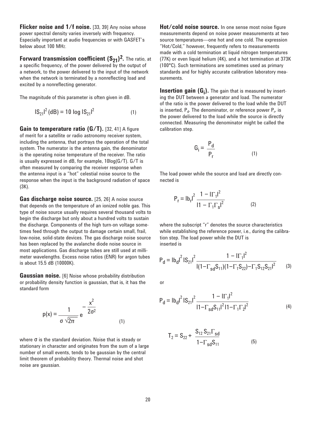**Flicker noise and 1/f noise.** [33, 39] Any noise whose power spectral density varies inversely with frequency. Especially important at audio frequencies or with GASFET's below about 100 MHz.

Forward transmission coefficient (S<sub>21</sub>)<sup>2</sup>. The ratio, at a specific frequency, of the power delivered by the output of a network, to the power delivered to the input of the network when the network is terminated by a nonreflecting load and excited by a nonreflecting generator.

The magnitude of this parameter is often given in dB.

$$
|S_{21}|^2 (dB) = 10 \log |S_{21}|^2
$$
 (1)

Gain to temperature ratio (G/T). [32, 41] A figure of merit for a satellite or radio astronomy receiver system, including the antenna, that portrays the operation of the total system. The numerator is the antenna gain, the denominator is the operating noise temperature of the receiver. The ratio is usually expressed in dB, for example, 10log(G/T). G/T is often measured by comparing the receiver response when the antenna input is a "hot" celestial noise source to the response when the input is the background radiation of space (3K).

**Gas discharge noise source.** [25, 26] A noise source that depends on the temperature of an ionized noble gas. This type of noise source usually requires several thousand volts to begin the discharge but only about a hundred volts to sustain the discharge. Components of the high turn-on voltage sometimes feed through the output to damage certain small, frail, low-noise, solid-state devices. The gas discharge noise source has been replaced by the avalanche diode noise source in most applications. Gas discharge tubes are still used at millimeter wavelengths. Excess noise ratios (ENR) for argon tubes is about 15.5 dB (10000K).

**Gaussian noise.** [6] Noise whose probability distribution or probability density function is gaussian, that is, it has the standard form

$$
p(x) = \frac{1}{\sigma \sqrt{2\pi}} e^{-\frac{x^2}{2\sigma^2}}
$$
 (1)

where σ is the standard deviation. Noise that is steady or stationary in character and originates from the sum of a large number of small events, tends to be gaussian by the central limit theorem of probability theory. Thermal noise and shot noise are gaussian.

**Hot/cold noise source.** In one sense most noise figure measurements depend on noise power measurements at two source temperatures—one hot and one cold. The expression "Hot/Cold," however, frequently refers to measurements made with a cold termination at liquid nitrogen temperatures (77K) or even liquid helium (4K), and a hot termination at 373K (100°C). Such terminations are sometimes used as primary standards and for highly accurate calibration laboratory measurements.

**Insertion gain (G<sub>i</sub>).** The gain that is measured by inserting the DUT between a generator and load. The numerator of the ratio is the power delivered to the load while the DUT is inserted,  $\mathsf{P}_{\mathsf{d}}$ . The denominator, or reference power  $\mathsf{P}_{\mathsf{r}'}$  is the power delivered to the load while the source is directly connected. Measuring the denominator might be called the calibration step.

$$
G_i = \frac{P_d}{P_r}
$$
 (1)

The load power while the source and load are directly connected is

$$
P_r = |b_r|^2 \frac{1 - |\Gamma_1|^2}{|1 - \Gamma_1 \Gamma_s|^2}
$$
 (2)

where the subscript "r" denotes the source characteristics while establishing the reference power, i.e., during the calibration step. The load power while the DUT is inserted is

$$
P_{d} = Ib_{d}I^{2} IS_{21}I^{2} \frac{1 - I\Gamma_{1}I^{2}}{I(1 - \Gamma_{sd}S_{11})(1 - \Gamma_{1}S_{22}) - \Gamma_{1}S_{12}S_{21}I^{2}}
$$
 (3)

or

$$
P_{d} = |b_{d}|^{2} |S_{21}|^{2} \frac{1 - |\Gamma_{1}|^{2}}{|1 - \Gamma_{sd} S_{11}|^{2} |1 - \Gamma_{1} \Gamma_{2}|^{2}}
$$
(4)

$$
T_2 = S_{22} + \frac{S_{12} S_{21} \Gamma_{sd}}{1 - \Gamma_{sd} S_{11}}
$$
(5)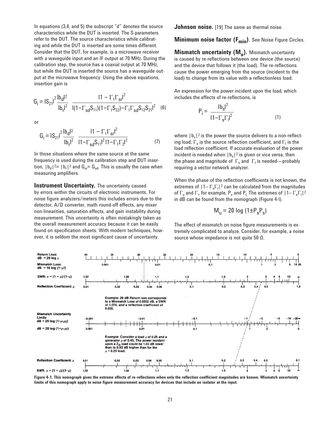In equations (3,4, and 5) the subscript "d" denotes the source characteristics while the DUT is inserted. The S-parameters refer to the DUT. The source characteristics while calibrating and while the DUT is inserted are some times different. Consider that the DUT, for example, is a microwave receiver with a waveguide input and an IF output at 70 MHz. During the calibration step, the source has a coaxial output at 70 MHz, but while the DUT is inserted the source has a waveguide output at the microwave frequency. Using the above equations, insertion gain is

$$
G_{i} = |S_{21}|^{2} \frac{|b_{d}|^{2}}{|b_{r}|^{2}} \frac{|1 - \Gamma_{1} \Gamma_{sr}|^{2}}{|1 - \Gamma_{sd} S_{11}| (1 - \Gamma_{1} S_{22}) - \Gamma_{1} \Gamma_{sd} S_{12} S_{21}|^{2}}
$$
 (6)

or

$$
G_{i} = |S_{21}|^{2} \frac{|b_{d}|^{2}}{|b_{r}|^{2}} \frac{|1 - \Gamma_{1} \Gamma_{sr}|^{2}}{|1 - \Gamma_{sd} S_{11}|^{2} |1 - \Gamma_{1} \Gamma_{2}|^{2}}
$$
(7)

In those situations where the same source at the same frequency is used during the calibration step and DUT insertion,  $|{\bf b}_{\rm d}|^2$ =  $|{\bf b}_{\rm r}|^2$  and  ${\bf G}_{\rm sr}$ =  ${\bf G}_{\rm sd}$ . This is usually the case when measuring amplifiers.

**Instrument Uncertainty.** The uncertainty caused by errors within the circuits of electronic instruments. For noise figure analyzers/meters this includes errors due to the detector, A/D converter, math round-off effects, any mixer non-linearities, saturation effects, and gain instability during measurement. This uncertainty is often mistakingly taken as the overall measurement accuracy because it can be easily found on specification sheets. With modern techniques, however, it is seldom the most significant cause of uncertainty.

**Johnson noise.** [19] The same as thermal noise.

**Minimum noise factor (F<sub>min</sub>)**. See Noise Figure Circles.

**Mismatch uncertainty (M<sub>u</sub>).** Mismatch uncertainty is caused by re-reflections between one device (the source) and the device that follows it (the load). The re-reflections cause the power emerging from the source (incident to the load) to change from its value with a reflectionless load.

An expression for the power incident upon the load, which includes the effects of re-reflections, is

(6) 
$$
P_{i} = \frac{lb_{s}l^{2}}{|1 - \Gamma_{s}\Gamma_{i}|^{2}}
$$
 (1)

where  $|b_s|^2$  is the power the source delivers to a non-reflecting load,  $\Gamma_{\rm s}$  is the source reflection coefficient, and  $\Gamma_{\rm l}$  is the load reflection coefficient. If accurate evaluation of the power incident is needed when  $|b_s|^2$  is given or vice versa, then the phase and magnitude of  $\, \Gamma_{\textrm{s}} \,$  and  $\, \Gamma_{\textrm{l}} \,$  is needed—probably requiring a vector network analyzer.

When the phase of the reflection coefficients is not known, the extremes of  $|1-\Gamma_s\Gamma_l|^2$  can be calculated from the magnitudes of  $\Gamma_{\rm s}$  and  $\Gamma_{\rm l}$ , for example,  ${\sf P}_{\rm s}$  and  ${\sf P}_{\rm l}$  The extremes of  $\lfloor 1\hspace{-0.07cm}-\Gamma_{\rm s}\Gamma_{\rm l}\rfloor^2$ in dB can be found from the nomograph (Figure 4-l).

$$
M_{u} = 20 \log (1 \pm P_{s} P_{s})
$$

The effect of mismatch on noise figure measurements is extremely complicated to analyze. Consider, for example, a noise source whose impedance is not quite 50 Ω.



**Figure 4-1. This nomograph gives the extreme effects of re-reflections when only the reflection coefficient magnitudes are known. Mismatch uncertainty limits of this nomograph apply to noise figure measurement accuracy for devices that include an isolator at the input.**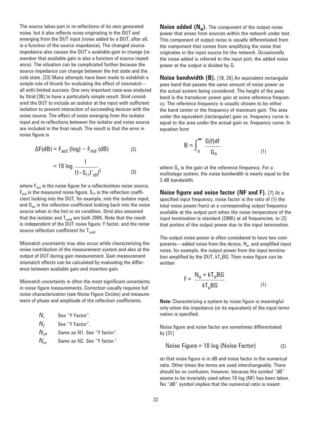The source takes part in re-reflections of its own generated noise, but it also reflects noise originating in the DUT and emerging from the DUT input (noise added by a DUT, after all, is a function of the source impedance). The changed source impedance also causes the DUT's available gain to change (remember that available gain is also a function of source impedance). The situation can be complicated further because the source impedance can change between the hot state and the cold state. [23] Many attempts have been made to establish a simple rule-of-thumb for evaluating the effect of mismatch all with limited success. One very important case was analyzed by Strid [36] to have a particularly simple result. Strid considered the DUT to include an isolator at the input with sufficient isolation to prevent interaction of succeeding devices with the noise source. The effect of noise emerging from the isolator input and re-reflections between the isolator and noise source are included in the final result. The result is that the error in noise figure is

$$
\Delta F(dB) = F_{act} (log) - F_{ind} (dB)
$$
  
= 10 log  $\frac{1}{|1 - S_{11} \Gamma_{sh}|^2}$  (3) where  $G_o$  is the ga

where  $F_{\text{act}}$  is the noise figure for a reflectionless noise source,  $F_{ind}$  is the measured noise figure,  $S_{11}$  is the reflection coefficient looking into the DUT, for example, into the isolator input, and  $G_{sh}$  is the reflection coefficient looking back into the noise source when in the hot or on condition. Strid also assumed that the isolator and  $T_{cold}$  are both 290K. Note that the result is independent of the DUT noise figure, Y factor, and the noise source reflection coefficient for  $T_{\text{cold}}$ .

Mismatch uncertainty may also occur while characterizing the noise contribution of the measurement system and also at the output of DUT during gain measurement. Gain measurement mismatch effects can be calculated by evaluating the difference between available gain and insertion gain.

Mismatch uncertainty is often the most significant uncertainty in noise figure measurements. Correction usually requires full noise characterization (see Noise Figure Circles) and measurement of phase and amplitude of the reflection coefficients.

| $N_{\rm 1}$    | See "Y Factor".                                          |
|----------------|----------------------------------------------------------|
| N <sub>2</sub> | See "Y Factor".                                          |
|                | $N_{\text{off}}$ Same as N1. See "Y factor".             |
|                | $N_{\scriptscriptstyle{op}}$ Same as N2. See "Y factor." |

**Noise added (N<sub>a</sub>).** The component of the output noise power that arises from sources within the network under test. This component of output noise is usually differentiated from the component that comes from amplifying the noise that originates in the input source for the network. Occasionally the noise added is referred to the input port, the added noise power at the output is divided by G.

**Noise bandwidth (B).** [18, 26] An equivalent rectangular pass band that passes the same amount of noise power as the actual system being considered. The height of the pass band is the transducer power gain at some reference frequency. The reference frequency is usually chosen to be either the band center or the frequency of maximum gain. The area under the equivalent (rectangular) gain vs. frequency curve is equal to the area under the actual gain vs. frequency curve. In equation form

$$
B = \int_0^\infty \frac{G(f)df}{G_0} \tag{1}
$$

where  $G_0$  is the gain at the reference frequency. For a multistage system, the noise bandwidth is nearly equal to the 3 dB bandwidth.

**Noise figure and noise factor (NF and F).** [7] At a specified input frequency, noise factor is the ratio of (1) the total noise power/hertz at a corresponding output frequency available at the output port when the noise temperature of the input termination is standard (290K) at all frequencies, to (2) that portion of the output power due to the input termination.

The output noise power is often considered to have two components—added noise from the device,  $N_a$ , and amplified input noise, for example, the output power from the input termination amplified by the DUT,  $kT_0BG$ . Then noise figure can be written

$$
F = \frac{N_a + kT_0BG}{kT_0BG}
$$
 (1)

**Note:** Characterizing a system by noise figure is meaningful only when the impedance (or its equivalent) of the input termination is specified.

Noise figure and noise factor are sometimes differentiated by [31]

$$
Noise Figure = 10 log (Noise Factor)
$$
 (2)

so that noise figure is in dB and noise factor is the numerical ratio. Other times the terms are used interchangeably. There should be no confusion, however, because the symbol "dB" seems to be invariably used when 10 log (NF) has been taken. No "dB" symbol implies that the numerical ratio is meant.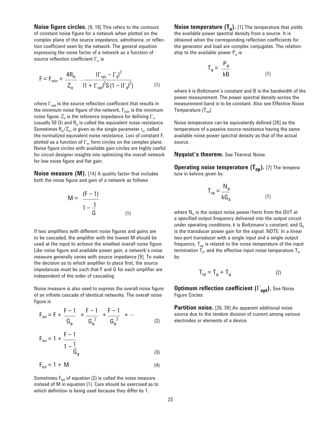**Noise figure circles.** [9, 18] This refers to the contours of constant noise figure for a network when plotted on the complex plane of the source impedance, admittance, or reflection coefficient seen by the network. The general equation expressing the noise factor of a network as a function of source reflection coefficient  $\Gamma_{\rm s}$  is

$$
F = F_{\min} + \frac{4R_{n}}{Z_{o}} \cdot \frac{|\Gamma_{\text{opt}} - \Gamma_{\text{s}}|^{2}}{|1 + \Gamma_{\text{opt}}|^{2}S(1 - |\Gamma_{\text{s}}|^{2})}
$$
(1)

where  $\Gamma_{\text{opt}}$  is the source reflection coefficient that results in the minimum noise figure of the network,  $F_{min}$  is the minimum noise figure,  $Z_0$  is the reference impedance for defining  $\Gamma_s$ (usually 50  $\Omega$ ) and R<sub>n</sub> is called the equivalent noise resistance. Sometimes  $R_n/Z_o$ , is given as the single parameter  $r_n$ , called the normalized equivalent noise resistance. Loci of constant F, plotted as a function of  $\Gamma_{s}$ , form circles on the complex plane. Noise figure circles with available gain circles are highly useful for circuit designer insights into optimizing the overall network for low noise figure and flat gain.

**Noise measure (M).** [14] A quality factor that includes both the noise figure and gain of a network as follows

$$
M = \frac{(F-1)}{1-\frac{1}{G}} \tag{1}
$$

If two amplifiers with different noise figures and gains are to be cascaded, the amplifier with the lowest M should be used at the input to achieve the smallest overall noise figure. Like noise figure and available power gain, a network's noise measure generally varies with source impedance [9]. To make the decision as to which amplifier to place first, the source impedances must be such that F and G for each amplifier are independent of the order of cascading.

Noise measure is also used to express the overall noise figure of an infinite cascade of identical networks. The overall noise figure is

$$
F_{\text{tot}} = F + \frac{F - 1}{G_a} + \frac{F - 1}{G_a^2} + \frac{F - 1}{G_a^3} + \dots
$$
 (2)

$$
F_{\text{tot}} = 1 + \frac{F - 1}{1 - \frac{1}{G_a}}
$$
 (3)

$$
F_{\text{tot}} = 1 + M \tag{4}
$$

Sometimes  $F_{\text{tot}}$  of equation (2) is called the noise measure instead of M in equation (1). Care should be exercised as to which definition is being used because they differ by 1.

**Noise temperature (T<sub>a</sub>).** [1] The temperature that yields the available power spectral density from a source. It is obtained when the corresponding reflection coefficients for the generator and load are complex conjugates. The relationship to the available power  $P_a$  is

$$
T_a = \frac{P_a}{kB} \tag{1}
$$

where k is Boltzmann's constant and B is the bandwidth of the power measurement. The power spectral density across the measurement band is to be constant. Also see Effective Noise Temperature  $(T_{ne})$ 

Noise temperature can be equivalently defined [26] as the temperature of a passive source resistance having the same available noise power spectral density as that of the actual source.

**Nyquist's theorem.** See Thermal Noise.

**Operating noise temperature (T<sub>op</sub>).** [7] The temperature in kelvins given by:

$$
T_{op} = \frac{N_o}{kG_s}
$$
 (1)

where  $N_0$  is the output noise power/hertz from the DUT at a specified output frequency delivered into the output circuit under operating conditions, k is Boltzmann's constant, and  $G_s$ is the transducer power gain for the signal. NOTE: In a linear two-port transducer with a single input and a single output frequency,  $T_{op}$  is related to the noise temperature of the input termination  $T_e$ , and the effective input noise temperature  $T_e$ , by:

$$
T_{op} = T_a + T_a \tag{2}
$$

**Optimum reflection coefficient (Γ<sub>opt</sub>).** See Noise Figure Circles.

**Partition noise.** [26, 39] An apparent additional noise source due to the random division of current among various electrodes or elements of a device.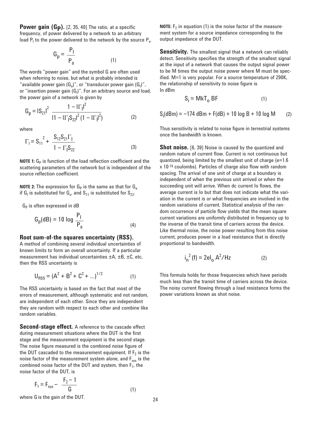**Power gain (G<sub>P</sub>).** [2, 35, 40] The ratio, at a specific frequency, of power delivered by a network to an arbitrary load  $\mathsf{P}_\mathsf{l}$  to the power delivered to the network by the source  $\mathsf{P}_\mathsf{s}.$ 

$$
G_p = \frac{P_l}{P_s} \tag{1}
$$

The words "power gain" and the symbol G are often used when referring to noise, but what is probably intended is "available power gain (G<sub>a</sub>)", or "transducer power gain (G<sub>t</sub>)", or "insertion power gain  $(G_i)$ ". For an arbitrary source and load, the power gain of a network is given by

$$
G_p = |S_{21}|^2 \frac{1 - |\Gamma_1|^2}{|1 - |\Gamma_1 S_{22}|^2 (1 - |\Gamma_1|^2)}
$$
 (2)

where

$$
\Gamma_1 = S_{11}^2 + \frac{S_{12}S_{21}\Gamma_1}{1 - \Gamma_1S_{22}}
$$
 (3)

**NOTE 1:**  $G_P$  is function of the load reflection coefficient and the scattering parameters of the network but is independent of the source reflection coefficient.

**NOTE 2:** The expression for  $G_P$  is the same as that for  $G_a$ if  $G_l$  is substituted for  $G_s$ , and  $S_{11}$  is substituted for  $S_{22}$ .

 $G_P$  is often expressed in dB

$$
G_p(dB) = 10 \log \frac{P_1}{P_s} \tag{4}
$$

#### **Root sum-of-the squares uncertainty (RSS).**

A method of combining several individual uncertainties of known limits to form an overall uncertainty. If a particular measurement has individual uncertainties ±A, ±B, ±C, etc, then the RSS uncertainty is

$$
U_{RSS} = (A^2 + B^2 + C^2 + ...)^{1/2}
$$
 (1)

The RSS uncertainty is based on the fact that most of the errors of measurement, although systematic and not random, are independent of each other. Since they are independent they are random with respect to each other and combine like random variables.

**Second-stage effect.** A reference to the cascade effect during measurement situations where the DUT is the first stage and the measurement equipment is the second stage. The noise figure measured is the combined noise figure of the DUT cascaded to the measurement equipment. If  $F_2$  is the noise factor of the measurement system alone, and  $F_{sys}$  is the combined noise factor of the DUT and system, then  $F_1$ , the noise factor of the DUT, is

$$
F_1 = F_{sys} - \frac{F_2 - 1}{G}
$$
 (1)

**NOTE:**  $F_2$  in equation (1) is the noise factor of the measurement system for a source impedance corresponding to the output impedance of the DUT.

**Sensitivity.** The smallest signal that a network can reliably detect. Sensitivity specifies the strength of the smallest signal at the input of a network that causes the output signal power to be M times the output noise power where M must be specified. M=1 is very popular. For a source temperature of 290K, the relationship of sensitivity to noise figure is In dBm

$$
S_i = MKT_o BF
$$
 (1)

 $S_i$ (dBm) = −174 dBm + F(dB) + 10 log B + 10 log M (2)

Thus sensitivity is related to noise figure in terrestrial systems once the bandwidth is known.

**Shot noise.** [6, 39] Noise is caused by the quantized and random nature of current flow. Current is not continuous but quantized, being limited by the smallest unit of charge (e=1.6 x 10-19 coulombs). Particles of charge also flow with random spacing. The arrival of one unit of charge at a boundary is independent of when the previous unit arrived or when the succeeding unit will arrive. When dc current Io flows, the average current is Io but that does not indicate what the variation in the current is or what frequencies are involved in the random variations of current. Statistical analysis of the random occurrence of particle flow yields that the mean square current variations are uniformly distributed in frequency up to the inverse of the transit time of carriers across the device. Like thermal noise, the noise power resulting from this noise current, produces power in a load resistance that is directly proportional to bandwidth.

$$
i_n^2 \text{ (f)} = 2 \text{el}_o \text{ A}^2/\text{Hz} \tag{2}
$$

This formula holds for those frequencies which have periods much less than the transit time of carriers across the device. The noisy current flowing through a load resistance forms the power variations known as shot noise.

where G is the gain of the DUT.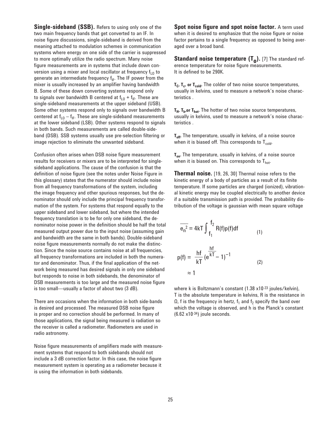**Single-sideband (SSB).** Refers to using only one of the two main frequency bands that get converted to an IF. In noise figure discussions, single-sideband is derived from the meaning attached to modulation schemes in communication systems where energy on one side of the carrier is suppressed to more optimally utilize the radio spectrum. Many noise figure measurements are in systems that include down conversion using a mixer and local oscillator at frequency  $f_{L0}$  to generate an intermediate frequency  $f_{IF}$ . The IF power from the mixer is usually increased by an amplifier having bandwidth B. Some of these down converting systems respond only to signals over bandwidth B centered at  $f_{L0} + f_{IF}$ . These are single-sideband measurements at the upper sideband (USB). Some other systems respond only to signals over bandwidth B centered at  $f_{L0} - f_{IF}$ . These are single-sideband measurements at the lower sideband (LSB). Other systems respond to signals in both bands. Such measurements are called double-sideband (DSB). SSB systems usually use pre-selection filtering or image rejection to eliminate the unwanted sideband.

Confusion often arises when DSB noise figure measurement results for receivers or mixers are to be interpreted for singlesideband applications. The cause of the confusion is that the definition of noise figure (see the notes under Noise Figure in this glossary) states that the numerator should include noise from all frequency transformations of the system, including the image frequency and other spurious responses, but the denominator should only include the principal frequency transformation of the system. For systems that respond equally to the upper sideband and lower sideband, but where the intended frequency translation is to be for only one sideband, the denominator noise power in the definition should be half the total measured output power due to the input noise (assuming gain and bandwidth are the same in both bands). Double-sideband noise figure measurements normally do not make the distinction. Since the noise source contains noise at all frequencies, all frequency transformations are included in both the numerator and denominator. Thus, if the final application of the network being measured has desired signals in only one sideband but responds to noise in both sidebands, the denominator of DSB measurements is too large and the measured noise figure is too small—usually a factor of about two (3 dB).

There are occasions when the information in both side-bands is desired and processed. The measured DSB noise figure is proper and no correction should be performed. In many of those applications, the signal being measured is radiation so the receiver is called a radiometer. Radiometers are used in radio astronomy.

Noise figure measurements of amplifiers made with measurement systems that respond to both sidebands should not include a 3 dB correction factor. In this case, the noise figure measurement system is operating as a radiometer because it is using the information in both sidebands.

**Spot noise figure and spot noise factor.** A term used when it is desired to emphasize that the noise figure or noise factor pertains to a single frequency as opposed to being averaged over a broad band.

**Standard noise temperature (T<sub>o</sub>).** [7] The standard reference temperature for noise figure measurements. It is defined to be 290K.

T<sub>C</sub>, T<sub>c</sub>, or T<sub>cold</sub>. The colder of two noise source temperatures, usually in kelvins, used to measure a network's noise characteristics .

T<sub>H</sub>, T<sub>h</sub>, or T<sub>hot</sub>. The hotter of two noise source temperatures, usually in kelvins, used to measure a network's noise characteristics .

**Toff.** The temperature, usually in kelvins, of a noise source when it is biased off. This corresponds to  $T_{\text{cold}}$ .

**Ton.** The temperature, usually in kelvins, of a noise source when it is biased on. This corresponds to  $T_{hot}$ .

**Thermal noise.** [19, 26, 30] Thermal noise refers to the kinetic energy of a body of particles as a result of its finite temperature. If some particles are charged (ionized), vibrational kinetic energy may be coupled electrically to another device if a suitable transmission path is provided. The probability distribution of the voltage is gaussian with mean square voltage

$$
\overline{e_n^2} = 4kT \int_{f_1}^{f_2} R(f)p(f)df
$$
\n
$$
p(f) = \frac{hf}{kT} (e^{\frac{hf}{kT}} - 1)^{-1}
$$
\n
$$
\approx 1
$$
\n(2)

where k is Boltzmann's constant (1.38 x10<sup>-23</sup> joules/kelvin), T is the absolute temperature in kelvins, R is the resistance in  $Ω$ , f is the frequency in hertz,  $f_1$  and  $f_2$  specify the band over which the voltage is observed, and h is the Planck's constant (6.62 x10-34) joule seconds.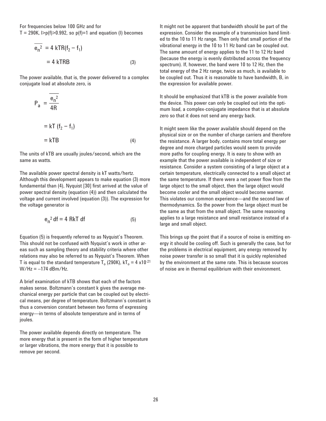For frequencies below 100 GHz and for  $T = 290K$ ,  $|>p(f)>0.992$ , so  $p(f)=1$  and equation (I) becomes

$$
\overline{e_n^2} = 4 \text{ kTR}(f_2 - f_1)
$$
  
= 4 \text{ kTRB} (3)

The power available, that is, the power delivered to a complex conjugate load at absolute zero, is

$$
P_{a} = \frac{\overline{e_{n}^{2}}}{4R}
$$
  
= kT (f<sub>2</sub> - f<sub>1</sub>)  
= kTB (4)

The units of kTB are usually joules/second, which are the same as watts.

The available power spectral density is kT watts/hertz. Although this development appears to make equation (3) more fundamental than (4), Nyquist [30] first arrived at the value of power spectral density (equation (4)) and then calculated the voltage and current involved (equation (3)). The expression for the voltage generator is

$$
e_n^2 df = 4 RkT df
$$
 (5)

Equation (5) is frequently referred to as Nyquist's Theorem. This should not be confused with Nyquist's work in other areas such as sampling theory and stability criteria where other relations may also be referred to as Nyquist's Theorem. When T is equal to the standard temperature  $T_0$  (290K),  $kT_0 = 4 \times 10^{-21}$  $W/Hz = -174$  dBm/Hz.

A brief examination of kTB shows that each of the factors makes sense. Boltzmann's constant k gives the average mechanical energy per particle that can be coupled out by electrical means, per degree of temperature. Boltzmann's constant is thus a conversion constant between two forms of expressing energy—in terms of absolute temperature and in terms of joules.

The power available depends directly on temperature. The more energy that is present in the form of higher temperature or larger vibrations, the more energy that it is possible to remove per second.

It might not be apparent that bandwidth should be part of the expression. Consider the example of a transmission band limited to the 10 to 11 Hz range. Then only that small portion of the vibrational energy in the 10 to 11 Hz band can be coupled out. The same amount of energy applies to the 11 to 12 Hz band (because the energy is evenly distributed across the frequency spectrum). If, however, the band were 10 to 12 Hz, then the total energy of the 2 Hz range, twice as much, is available to be coupled out. Thus it is reasonable to have bandwidth, B, in the expression for available power.

It should be emphasized that kTB is the power available from the device. This power can only be coupled out into the optimum load, a complex-conjugate impedance that is at absolute zero so that it does not send any energy back.

It might seem like the power available should depend on the physical size or on the number of charge carriers and therefore the resistance. A larger body, contains more total energy per degree and more charged particles would seem to provide more paths for coupling energy. It is easy to show with an example that the power available is independent of size or resistance. Consider a system consisting of a large object at a certain temperature, electrically connected to a small object at the same temperature. If there were a net power flow from the large object to the small object, then the large object would become cooler and the small object would become warmer. This violates our common experience—and the second law of thermodynamics. So the power from the large object must be the same as that from the small object. The same reasoning applies to a large resistance and small resistance instead of a large and small object.

This brings up the point that if a source of noise is emitting energy it should be cooling off. Such is generally the case, but for the problems in electrical equipment, any energy removed by noise power transfer is so small that it is quickly replenished by the environment at the same rate. This is because sources of noise are in thermal equilibrium with their environment.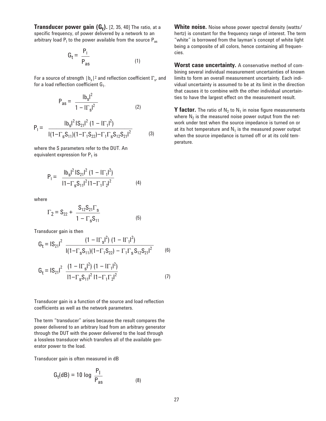**Transducer power gain (G<sub>t</sub>).** [2, 35, 40] The ratio, at a specific frequency, of power delivered by a network to an arbitrary load  $\mathsf{P}_\mathsf{l}$  to the power available from the source  $\mathsf{P}_\mathsf{as}$ 

$$
G_t = \frac{P_1}{P_{as}} \tag{1}
$$

For a source of strength  $|b_s|^2$  and reflection coefficient  $\Gamma_{s}$ , and for a load reflection coefficient  $G_1$ .

$$
P_{as} = \frac{|b_s|^2}{1 - |\Gamma_s|^2} \tag{2}
$$

$$
P_1 = \frac{\ln_s l^2 |S_{21}|^2 (1 - |\Gamma_1|^2)}{| (1 - \Gamma_s S_{11})(1 - \Gamma_1 S_{22}) - \Gamma_1 \Gamma_s S_{12} S_{21}|^2}
$$
(3)

where the S parameters refer to the DUT. An equivalent expression for  $P_1$  is

$$
P_1 = \frac{\left|b_s\right|^2 \left|S_{21}\right|^2 (1 - \left|\Gamma_1\right|^2)}{\left|1 - \Gamma_s S_{11}\right|^2 \left|1 - \Gamma_1 \Gamma_2\right|^2}
$$
(4)

where

$$
\Gamma_2 = S_{22} + \frac{S_{12}S_{21}\Gamma_s}{1 - \Gamma_s S_{11}}
$$
 (5)

Transducer gain is then

$$
G_{t} = |S_{21}|^{2} \frac{(1 - |\Gamma_{s}|^{2}) (1 - |\Gamma_{1}|^{2})}{\left| (1 - \Gamma_{s} S_{11})(1 - \Gamma_{1} S_{22}) - \Gamma_{1} \Gamma_{s} S_{12} S_{21} \right|^{2}}
$$
(6)

$$
G_{t} = |S_{21}|^{2} \frac{(1 - |\Gamma_{s}|^{2}) (1 - |\Gamma_{1}|^{2})}{|1 - \Gamma_{s} S_{11}|^{2} |1 - \Gamma_{1} \Gamma_{2}|^{2}}
$$
(7)

Transducer gain is a function of the source and load reflection coefficients as well as the network parameters.

The term "transducer" arises because the result compares the power delivered to an arbitrary load from an arbitrary generator through the DUT with the power delivered to the load through a lossless transducer which transfers all of the available generator power to the load.

Transducer gain is often measured in dB

$$
G_t(dB) = 10 \log \frac{P_1}{P_{as}} \tag{8}
$$

**White noise.** Noise whose power spectral density (watts/ hertz) is constant for the frequency range of interest. The term "white" is borrowed from the layman's concept of white light being a composite of all colors, hence containing all frequencies.

**Worst case uncertainty.** A conservative method of combining several individual measurement uncertainties of known limits to form an overall measurement uncertainty. Each individual uncertainty is assumed to be at its limit in the direction that causes it to combine with the other individual uncertainties to have the largest effect on the measurement result.

**Y factor.** The ratio of  $N_2$  to  $N_1$  in noise figure measurements where  $N_2$  is the measured noise power output from the network under test when the source impedance is turned on or at its hot temperature and  $N_1$  is the measured power output when the source impedance is turned off or at its cold temperature.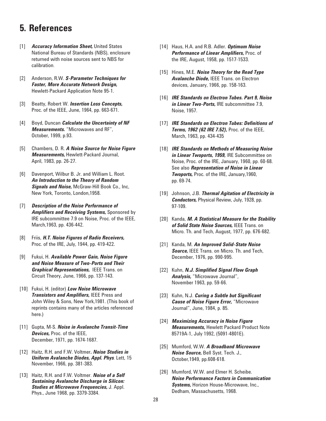# **5. References**

- [1] *Accuracy Information Sheet,* United States National Bureau of Standards (NBS), enclosure returned with noise sources sent to NBS for calibration.
- [2] Anderson, R.W. *S-Parameter Techniques for Faster, More Accurate Network Design,*  Hewlett-Packard Application Note 95-1.
- [3] Beatty, Robert W. *Insertion Loss Concepts,* Proc. of the IEEE, June, 1964, pp. 663-671.
- [4] Boyd, Duncan *Calculate the Uncertainty of NF Measurements.* "Microwaves and RF", October, 1999, p.93.
- [5] Chambers, D. R. *A Noise Source for Noise Figure Measurements,* Hewlett-Packard Journal, April, 1983, pp. 26-27.
- [6] Davenport, Wilbur B. Jr. and William L. Root.  *An Introduction to the Theory of Random Signals and Noise,* McGraw-Hill Book Co., Inc, New York, Toronto, London,1958.
- [7] *Description of the Noise Performance of Amplifiers and Receiving Systems,* Sponsored by IRE subcommittee 7.9 on Noise, Proc. of the IEEE, March,1963, pp. 436-442.
- [8] Friis, *H.T. Noise Figures of Radio Receivers,*  Proc. of the IRE, July, 1944, pp. 419-422.
- [9] Fukui, H. *Available Power Gain, Noise Figure and Noise Measure of Two-Ports and Their Graphical Representations,* IEEE Trans. on Circuit Theory, June, 1966, pp. 137-143.
- [10] Fukui, H. (editor) *Low Noise Microwave Transistors and Amplifiers,* IEEE Press and John Wiley & Sons, New York,1981. (This book of reprints contains many of the articles referenced here.)
- [11] Gupta, M-S. *Noise in Avalanche Transit-Time Devices,* Proc. of the IEEE, December, 1971, pp. 1674-1687.
- [12] Haitz, R.H. and F.W. Voltmer*. Noise Studies in Uniform Avalanche Diodes, Appl. Phys*. Lett, 15 November, 1966, pp. 381-383.
- [13] Haitz, R.H. and F.W. Voltmer. **Noise of a Self**  *Sustaining Avalanche Discharge in Silicon: Studies at Microwave Frequencies,* J. Appl. Phys., June 1968, pp. 3379-3384.
- [14] Haus, H.A. and R.B. Adler. *Optimum Noise Performance of Linear Amplifiers,* Proc. of the IRE, August, 1958, pp. 1517-1533.
- [15] Hines, M.E. *Noise Theory for the Read Type Avalanche Diode,* IEEE Trans. on Electron devices, January, 1966, pp. 158-163.
- [16] *IRE Standards on Electron Tubes. Part 9, Noise in Linear Two-Ports,* IRE subcommittee 7.9, Noise, 1957.
- [17] *IRE Standards on Electron Tubes: Definitions of Terms, 1962 (62 IRE 7.52),* Proc. of the IEEE, March, 1963, pp. 434-435
- [18] *IRE Standards on Methods of Measuring Noise in Linear Twoports, 1959,* IRE Subcommittee on Noise, Proc. of the IRE, January, 1960, pp. 60-68. See also *Representation of Noise in Linear Twoports,* Proc. of the IRE, January,1960, pp. 69-74.
- [19] Johnson, J.B. *Thermal Agitation of Electricity in Conductors,* Physical Review, July, 1928, pp. 97-109.
- [20] Kanda, *M. A Statistical Measure for the Stability of Solid State Noise Sources,* IEEE Trans. on Micro. Th. and Tech, August, 1977, pp. 676-682.
- [21] Kanda, M. *An Improved Solid-State Noise Source,* IEEE Trans. on Micro. Th. and Tech, December, 1976, pp. 990-995.
- [22] Kuhn, *N.J. Simplified Signal Flow Graph Analysis,* "Microwave Journal", November 1963, pp. 59-66.
- [23] Kuhn, N.J. *Curing a Subtle but Significant Cause of Noise Figure Error, "Microwave* Journal", June, 1984, p. 85.
- [24] *Maximizing Accuracy in Noise Figure Measurements,* Hewlett Packard Product Note 85719A-1, July 1992, (5091-4801E).
- [25] Mumford, W.W. *A Broadband Microwave Noise Source,* Bell Syst. Tech. J., October,1949, pp.608-618.
- [26] Mumford, W.W. and Elmer H. Scheibe.  *Noise Performance Factors in Communication Systems,* Horizon House-Microwave, Inc., Dedham, Massachusetts, 1968.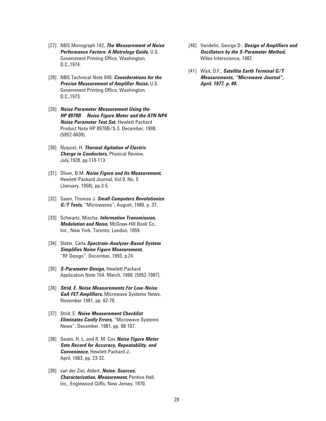- [27] NBS Monograph 142, *The Measurement of Noise Performance Factors: A Metrology Guide,* U.S. Government Printing Office, Washington, D.C.,1974.
- [28] NBS Technical Note 640, *Considerations for the Precise Measurement of Amplifier Noise,* U.S. Government Printing Office, Washington, D.C.,1973.
- [29] *Noise Parameter Measurement Using the HP 8970B Noise Figure Meter and the ATN NP4 Noise Parameter Test Set,* Hewlett Packard Product Note HP 8970B/S-3, December, 1998, (5952-6639).
- [30] Nyquist, H. *Thermal Agitation of Electric Charge in Conductors,* Physical Review, July,1928, pp.110-113.
- [31] Oliver, B.M. *Noise Figure and Its Measurement,* Hewlett-Packard Journal, Vol.9, No. 5 (January, 1958), pp.3-5.
- [32] Saam, Thomas J. *Small Computers Revolutionize G/T Tests,* "Microwaves", August, 1980, p. 37.
- [33] Schwartz, Mischa. *Information Transmission, Modulation and Noise,* McGraw-Hill Book Co., Inc., New York, Toronto, London, 1959.
- [34] Slater, Carla *Spectrum-Analyzer-Based System Simplifies Noise Figure Measurement,*  "RF Design", December, 1993, p.24.
- [35] *S-Parameter Design,* Hewlett Packard Application Note 154, March, 1990, (5952-1087).
- [36] *Strid, E. Noise Measurements For Low-Noise GaA FET Amplifiers,* Microwave Systems News, November 1981, pp. 62-70.
- [37] Strid, E. *Noise Measurement Checklist Eliminates Costly Errors,* "Microwave Systems News", December, 1981, pp. 88-107.
- [38] Swain, H. L. and R. M. Cox *Noise Figure Meter Sets Record for Accuracy, Repeatability, and Convenience,* Hewlett-Packard J., April, 1983, pp. 23-32.
- [39] van der Ziel, Aldert. *Noise: Sources, Characterization, Measurement,* Pentice-Hall, Inc., Englewood Cliffs, New Jersey, 1970.
- [40] Vendelin, George D., *Design of Amplifiers and Oscillators by the S-Parameter Method,*  Wiley-Interscience, 1982.
- [41] Wait, D.F., *Satellite Earth Terminal G/T Measurements, "Microwave Journal", April, 1977, p. 49.*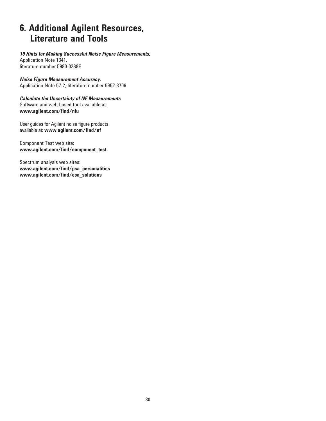# **6. Additional Agilent Resources, Literature and Tools**

*10 Hints for Making Successful Noise Figure Measurements,*  Application Note 1341,

literature number 5980-0288E

### *Noise Figure Measurement Accuracy,*

Application Note 57-2, literature number 5952-3706

*Calculate the Uncertainty of NF Measurements* Software and web-based tool available at: **www.agilent.com/find/nfu**

User guides for Agilent noise figure products available at: **www.agilent.com/find/nf**

Component Test web site: **www.agilent.com/find/component\_test**

Spectrum analysis web sites: **www.agilent.com/find/psa\_personalities www.agilent.com/find/esa\_solutions**